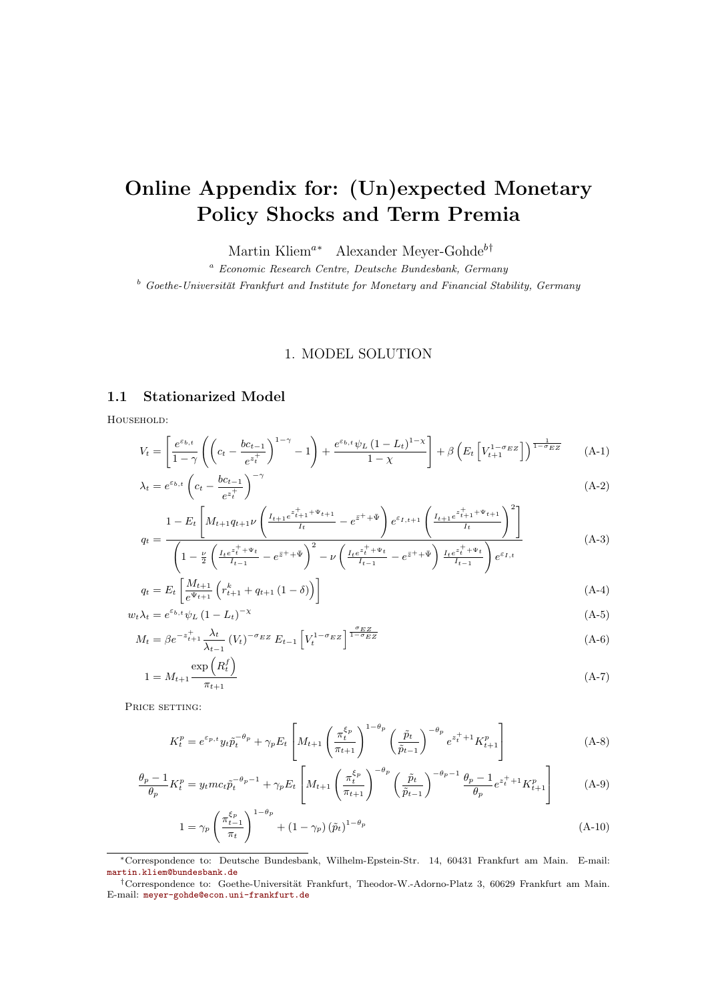# Online Appendix for: (Un)expected Monetary Policy Shocks and Term Premia

Martin Kliem<sup>a∗</sup> Alexander Meyer-Gohde<sup>b†</sup>

<sup>a</sup> Economic Research Centre, Deutsche Bundesbank, Germany

 $b$  Goethe-Universität Frankfurt and Institute for Monetary and Financial Stability, Germany

# 1. MODEL SOLUTION

# 1.1 Stationarized Model

Household:

$$
V_{t} = \left[\frac{e^{\varepsilon_{b,t}}}{1-\gamma} \left( \left(c_{t} - \frac{bc_{t-1}}{e^{z_{t}^{+}}}\right)^{1-\gamma} - 1\right) + \frac{e^{\varepsilon_{b,t}}\psi_{L}\left(1 - L_{t}\right)^{1-\gamma}}{1-\chi}\right] + \beta \left(E_{t}\left[V_{t+1}^{1-\sigma_{EZ}}\right]\right)^{\frac{1}{1-\sigma_{EZ}}} \tag{A-1}
$$

$$
\lambda_t = e^{\varepsilon_{b,t}} \left( c_t - \frac{bc_{t-1}}{e^{z_t^+}} \right)^{-\gamma} \tag{A-2}
$$

$$
q_{t} = \frac{1 - E_{t} \left[ M_{t+1} q_{t+1} \nu \left( \frac{I_{t+1} e^{z_{t+1}^{+} + \Psi_{t+1}}}{I_{t}} - e^{\bar{z}^{+} + \bar{\Psi}} \right) e^{\varepsilon_{I,t+1}} \left( \frac{I_{t+1} e^{z_{t+1}^{+} + \Psi_{t+1}}}{I_{t}} \right)^{2} \right]}{\left( 1 - \nu \left( I_{t} e^{z_{t}^{+} + \Psi_{t}} - z_{t} \right)^{2} \right)}
$$
(A-3)

$$
\left(1 - \frac{\nu}{2} \left(\frac{I_t e^{\bar{z}_t^+ + \Psi_t}}{I_{t-1}} - e^{\bar{z}^+ + \bar{\Psi}}\right)^2 - \nu \left(\frac{I_t e^{\bar{z}_t^+ + \Psi_t}}{I_{t-1}} - e^{\bar{z}^+ + \bar{\Psi}}\right) \frac{I_t e^{\bar{z}_t^+ + \Psi_t}}{I_{t-1}}\right) e^{\varepsilon_{I,t}}
$$
\n
$$
\Gamma \left[M_{t+1} \left(k\right) \left(1 - \frac{\varepsilon_{I}}{I_{t-1}}\right)\right]
$$
\n
$$
(4, 4)
$$

$$
q_t = E_t \left[ \frac{M_{t+1}}{e^{\Psi_{t+1}}} \left( r_{t+1}^k + q_{t+1} \left( 1 - \delta \right) \right) \right]
$$
\n
$$
\dots \quad \text{where} \quad \text{and} \quad \text{and} \quad \text{and} \quad \text{and} \quad \text{and} \quad \text{and} \quad \text{and} \quad \text{and} \quad \text{and} \quad \text{and} \quad \text{and} \quad \text{and} \quad \text{and} \quad \text{and} \quad \text{and} \quad \text{and} \quad \text{and} \quad \text{and} \quad \text{and} \quad \text{and} \quad \text{and} \quad \text{and} \quad \text{and} \quad \text{and} \quad \text{and} \quad \text{and} \quad \text{and} \quad \text{and} \quad \text{and} \quad \text{and} \quad \text{and} \quad \text{and} \quad \text{and} \quad \text{and} \quad \text{and} \quad \text{and} \quad \text{and} \quad \text{and} \quad \text{and} \quad \text{and} \quad \text{and} \quad \text{and} \quad \text{and} \quad \text{and} \quad \text{and} \quad \text{and} \quad \text{and} \quad \text{and} \quad \text{and} \quad \text{and} \quad \text{and} \quad \text{and} \quad \text{and} \quad \text{and} \quad \text{and} \quad \text{and} \quad \text{and} \quad \text{and} \quad \text{and} \quad \text{and} \quad \text{and} \quad \text{and} \quad \text{and} \quad \text{and} \quad \text{and} \quad \text{and} \quad \text{and} \quad \text{and} \quad \text{and} \quad \text{and} \quad \text{and} \quad \text{and} \quad \text{and} \quad \text{and} \quad \text{and} \quad \text{and} \quad \text{and} \quad \text{and} \quad \text{and} \quad \text{and} \quad \text{and} \quad \text{and} \quad \text{and} \quad \text{and} \quad \text{and} \quad \text{and} \quad \text{and} \quad \text{and} \quad \text{and} \quad \text{and} \quad \text{and} \quad \text{and} \quad \text{and} \quad \text{and} \quad \text{and} \quad \text{and} \quad \text{and} \
$$

$$
w_t \lambda_t = e^{\varepsilon_{b,t}} \psi_L \left(1 - L_t\right)^{-\chi} \tag{A-5}
$$
  

$$
M_t - \beta e^{-z_{t+1}^+} \frac{\lambda_t}{\lambda} \left(1 - \frac{1}{\lambda}\right)^{-\sigma_E} \mathbb{E} \left[1 - \frac{1}{\lambda} \frac{\sigma_E \mathbb{E} \mathbb{E} \left[1 - \frac{1}{\lambda}\right]}{\sigma_E \mathbb{E} \mathbb{E} \left[1 - \frac{1}{\lambda}\right]} \tag{A-6}
$$

$$
M_t = \beta e^{-z_{t+1}^+} \frac{\lambda_t}{\lambda_{t-1}} (V_t)^{-\sigma_{EZ}} E_{t-1} \left[ V_t^{1-\sigma_{EZ}} \right]^{1-\sigma_{EZ}}
$$
\n
$$
\exp\left(R_t^f\right)
$$
\n(A-6)

$$
1 = M_{t+1} \frac{\exp\left(\Lambda_t\right)}{\pi_{t+1}}
$$
\n(A-7)

PRICE SETTING:

$$
K_t^p = e^{\varepsilon_{p,t}} y_t \tilde{p}_t^{-\theta_p} + \gamma_p E_t \left[ M_{t+1} \left( \frac{\pi_t^{\xi_p}}{\pi_{t+1}} \right)^{1-\theta_p} \left( \frac{\tilde{p}_t}{\tilde{p}_{t-1}} \right)^{-\theta_p} e^{z_t^+ + 1} K_{t+1}^p \right] \tag{A-8}
$$

$$
\frac{\theta_p - 1}{\theta_p} K_t^p = y_t m c_t \tilde{p}_t^{-\theta_p - 1} + \gamma_p E_t \left[ M_{t+1} \left( \frac{\pi_t^{\xi_p}}{\pi_{t+1}} \right)^{-\theta_p} \left( \frac{\tilde{p}_t}{\tilde{p}_{t-1}} \right)^{-\theta_p - 1} \frac{\theta_p - 1}{\theta_p} e^{z_t^+ + 1} K_{t+1}^p \right] \tag{A-9}
$$

$$
1 = \gamma_p \left( \frac{\pi_{t-1}^{\xi_p}}{\pi_t} \right)^{1-\theta_p} + \left( 1 - \gamma_p \right) \left( \tilde{p}_t \right)^{1-\theta_p} \tag{A-10}
$$

<sup>∗</sup>Correspondence to: Deutsche Bundesbank, Wilhelm-Epstein-Str. 14, 60431 Frankfurt am Main. E-mail: [martin.kliem@bundesbank.de](mailto:martin.kliem@bundesbank.de)

<sup>&</sup>lt;sup>†</sup>Correspondence to: Goethe-Universität Frankfurt, Theodor-W.-Adorno-Platz 3, 60629 Frankfurt am Main. E-mail: [meyer-gohde@econ.uni-frankfurt.de](mailto:meyer-gohde@econ.uni-frankfurt.de)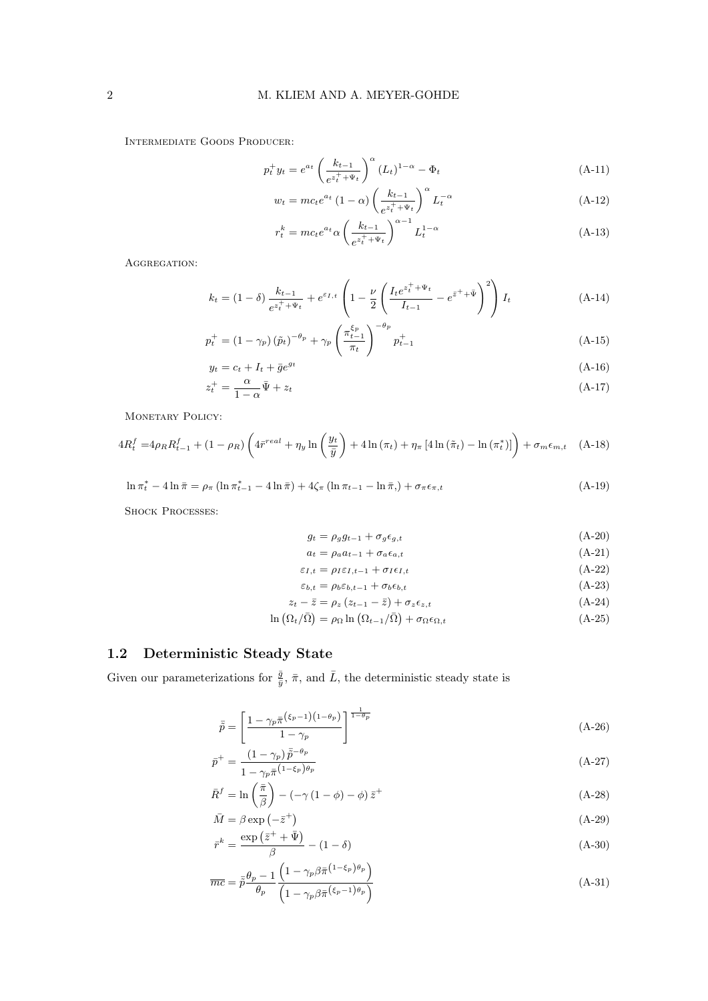Intermediate Goods Producer:

$$
p_t^+ y_t = e^{a_t} \left( \frac{k_{t-1}}{e^{z_t^+ + \Psi_t}} \right)^{\alpha} (L_t)^{1-\alpha} - \Phi_t
$$
 (A-11)

$$
w_t = mc_t e^{a_t} \left(1 - \alpha\right) \left(\frac{k_{t-1}}{e^{z_t^+ + \Psi_t}}\right)^{\alpha} L_t^{-\alpha} \tag{A-12}
$$

$$
r_t^k = mc_t e^{a_t} \alpha \left(\frac{k_{t-1}}{e^{z_t^+ + \Psi_t}}\right)^{\alpha - 1} L_t^{1 - \alpha}
$$
 (A-13)

AGGREGATION:

$$
k_t = (1 - \delta) \frac{k_{t-1}}{e^{z_t^+ + \Psi_t}} + e^{\varepsilon_{I,t}} \left( 1 - \frac{\nu}{2} \left( \frac{I_t e^{z_t^+ + \Psi_t}}{I_{t-1}} - e^{\bar{z}^+ + \bar{\Psi}} \right)^2 \right) I_t \tag{A-14}
$$

$$
p_t^+ = (1 - \gamma_p)(\tilde{p}_t)^{-\theta_p} + \gamma_p \left(\frac{\pi_{t-1}^{\xi_p}}{\pi_t}\right)^{-\theta_p} p_{t-1}^+ \tag{A-15}
$$

$$
y_t = c_t + I_t + \bar{g}e^{gt} \tag{A-16}
$$

$$
z_t^+ = \frac{\alpha}{1 - \alpha} \bar{\Psi} + z_t \tag{A-17}
$$

MONETARY POLICY:

$$
4R_t^f = 4\rho_R R_{t-1}^f + (1 - \rho_R) \left( 4\bar{r}^{real} + \eta_y \ln\left(\frac{y_t}{\bar{y}}\right) + 4\ln(\pi_t) + \eta_\pi \left[ 4\ln(\tilde{\pi}_t) - \ln(\pi_t^*) \right] \right) + \sigma_m \epsilon_{m,t} \quad \text{(A-18)}
$$

$$
\ln \pi_t^* - 4 \ln \bar{\pi} = \rho_\pi \left( \ln \pi_{t-1}^* - 4 \ln \bar{\pi} \right) + 4 \zeta_\pi \left( \ln \pi_{t-1} - \ln \bar{\pi} \right) + \sigma_\pi \epsilon_{\pi, t} \tag{A-19}
$$

SHOCK PROCESSES:

$$
g_t = \rho_g g_{t-1} + \sigma_g \epsilon_{g,t} \tag{A-20}
$$

$$
a_t = \rho_a a_{t-1} + \sigma_a \epsilon_{a,t} \tag{A-21}
$$

$$
\varepsilon_{I,t} = \rho_I \varepsilon_{I,t-1} + \sigma_I \varepsilon_{I,t} \tag{A-22}
$$

$$
\varepsilon_{b,t} = \rho_b \varepsilon_{b,t-1} + \sigma_b \varepsilon_{b,t}
$$
\n
$$
\varepsilon_{t-1} = \overline{z} = \rho_s (z_{t-1} - \overline{z}) + \sigma_s \varepsilon_{s,t}
$$
\n(A-23)\n(A-24)

$$
2t - 2 = \rho_z (2t - 1 - z) + \sigma_z \epsilon_{z,t}
$$
\n
$$
\ln \left( Q / \bar{Q} \right) = \ln \left( Q / \sqrt{Q} \right) + \sigma_z \tag{A.95}
$$

$$
\ln\left(\Omega_t/\bar{\Omega}\right) = \rho_\Omega \ln\left(\Omega_{t-1}/\bar{\Omega}\right) + \sigma_\Omega \epsilon_{\Omega,t} \tag{A-25}
$$

# 1.2 Deterministic Steady State

Given our parameterizations for  $\frac{\bar{g}}{\bar{y}}, \bar{\pi}$ , and  $\bar{L}$ , the deterministic steady state is

$$
\bar{\tilde{p}} = \left[\frac{1 - \gamma_p \bar{\pi}^{\left(\xi_p - 1\right)\left(1 - \theta_p\right)}}{1 - \gamma_p}\right]^{\frac{1}{1 - \theta_p}}\tag{A-26}
$$

$$
\bar{p}^{+} = \frac{(1 - \gamma_p)\,\bar{\tilde{p}}^{-\theta_p}}{1 - \gamma_p \bar{\pi}^{(1 - \xi_p)\theta_p}}\tag{A-27}
$$

$$
\bar{R}^{f} = \ln\left(\frac{\bar{\pi}}{\beta}\right) - \left(-\gamma\left(1-\phi\right) - \phi\right)\bar{z}^{+}
$$
\n(A-28)

$$
\bar{M} = \beta \exp\left(-\bar{z}^+\right) \tag{A-29}
$$
\n
$$
\exp\left(\bar{z}^+ + \bar{\Psi}\right) \tag{A-29}
$$

$$
\bar{r}^k = \frac{\exp\left(z^* + \Psi\right)}{\beta} - (1 - \delta) \tag{A-30}
$$

$$
\overline{mc} = \overline{\tilde{p}} \frac{\theta_p - 1}{\theta_p} \frac{\left(1 - \gamma_p \beta \overline{\pi}^{(1 - \xi_p)\theta_p}\right)}{\left(1 - \gamma_p \beta \overline{\pi}^{(\xi_p - 1)\theta_p}\right)}
$$
(A-31)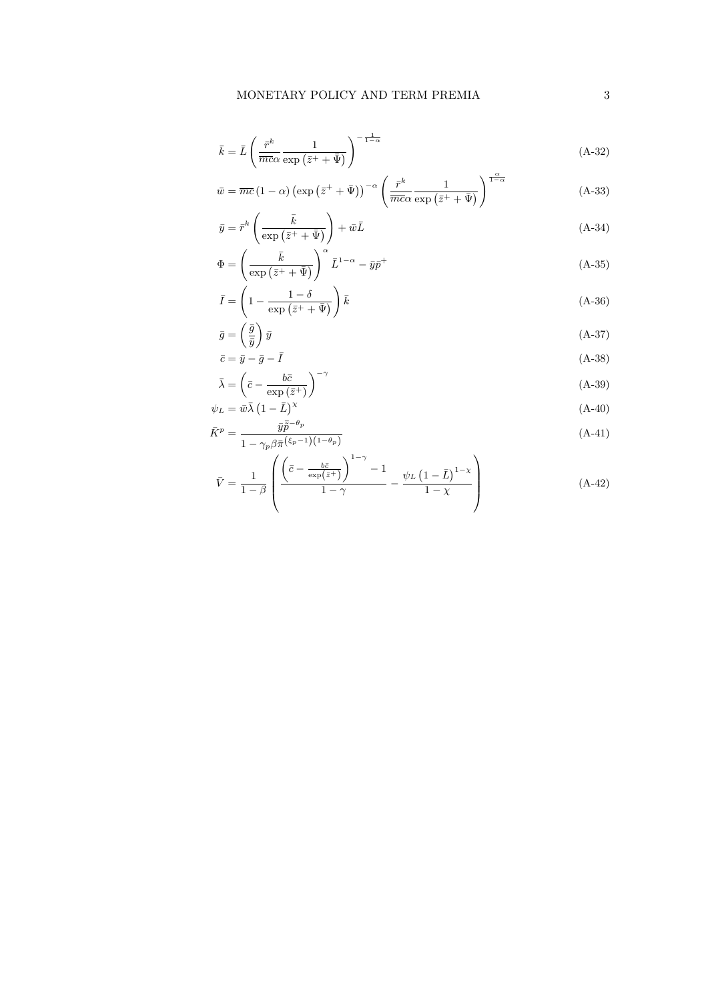$$
\bar{k} = \bar{L} \left( \frac{\bar{r}^k}{\overline{m}c\alpha} \frac{1}{\exp\left(\bar{z}^+ + \bar{\Psi}\right)} \right)^{-\frac{1}{1-\alpha}}
$$
\n(A-32)

$$
\bar{w} = \overline{mc} \left(1 - \alpha\right) \left(\exp\left(\bar{z}^+ + \bar{\Psi}\right)\right)^{-\alpha} \left(\frac{\bar{r}^k}{\overline{mc\alpha}} \frac{1}{\exp\left(\bar{z}^+ + \bar{\Psi}\right)}\right)^{\frac{\alpha}{1-\alpha}}
$$
(A-33)

$$
\bar{y} = \bar{r}^k \left( \frac{\bar{k}}{\exp\left(\bar{z}^+ + \bar{\Psi}\right)} \right) + \bar{w}\bar{L}
$$
\n(A-34)

$$
\Phi = \left(\frac{\bar{k}}{\exp\left(\bar{z}^+ + \bar{\Psi}\right)}\right)^{\alpha} \bar{L}^{1-\alpha} - \bar{y}\bar{p}^+\n\tag{A-35}
$$

$$
\bar{I} = \left(1 - \frac{1 - \delta}{\exp\left(\bar{z}^+ + \bar{\Psi}\right)}\right)\bar{k} \tag{A-36}
$$

$$
\bar{g} = \left(\frac{\bar{g}}{\bar{y}}\right)\bar{y}
$$
\n(A-37)

$$
\bar{c} = \bar{y} - \bar{g} - \bar{I}
$$
\n
$$
\bar{c} = \bar{y} - \bar{g} - \bar{I}
$$
\n
$$
\bar{A} = \bar{A} \quad (A - 38)
$$
\n
$$
\bar{A} = \bar{A} \quad (A - 39)
$$

$$
\bar{\lambda} = \left(\bar{c} - \frac{oc}{\exp\left(\bar{z}^+\right)}\right) \tag{A-39}
$$
\n
$$
\psi_L = \bar{w}\bar{\lambda} \left(1 - \bar{L}\right)^{\chi} \tag{A-40}
$$

$$
\bar{K}^p = \frac{\bar{y}\bar{\tilde{p}}^{-\theta_p}}{1 - \gamma_p \beta \bar{\pi}^{\left(\xi_p - 1\right)\left(1 - \theta_p\right)}}\tag{A-41}
$$

$$
\bar{V} = \frac{1}{1-\beta} \left( \frac{\left(\bar{c} - \frac{b\bar{c}}{\exp\left(\bar{z}^{+}\right)}\right)^{1-\gamma} - 1}{1-\gamma} - \frac{\psi_{L}\left(1-\bar{L}\right)^{1-\chi}}{1-\chi} \right) \tag{A-42}
$$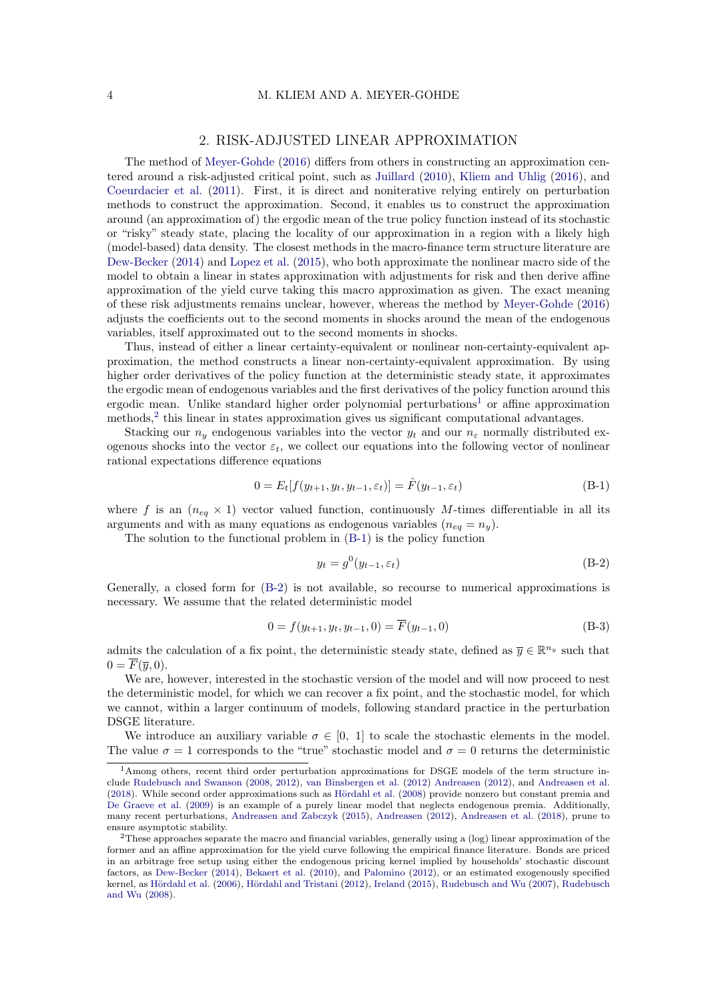#### 2. RISK-ADJUSTED LINEAR APPROXIMATION

The method of [Meyer-Gohde](#page-22-0) [\(2016\)](#page-22-0) differs from others in constructing an approximation centered around a risk-adjusted critical point, such as [Juillard](#page-22-1) [\(2010\)](#page-22-1), [Kliem and Uhlig](#page-22-2) [\(2016\)](#page-22-2), and [Coeurdacier et al.](#page-21-0) [\(2011\)](#page-21-0). First, it is direct and noniterative relying entirely on perturbation methods to construct the approximation. Second, it enables us to construct the approximation around (an approximation of) the ergodic mean of the true policy function instead of its stochastic or "risky" steady state, placing the locality of our approximation in a region with a likely high (model-based) data density. The closest methods in the macro-finance term structure literature are [Dew-Becker](#page-21-1) [\(2014\)](#page-21-1) and [Lopez et al.](#page-22-3) [\(2015\)](#page-22-3), who both approximate the nonlinear macro side of the model to obtain a linear in states approximation with adjustments for risk and then derive affine approximation of the yield curve taking this macro approximation as given. The exact meaning of these risk adjustments remains unclear, however, whereas the method by [Meyer-Gohde](#page-22-0) [\(2016\)](#page-22-0) adjusts the coefficients out to the second moments in shocks around the mean of the endogenous variables, itself approximated out to the second moments in shocks.

Thus, instead of either a linear certainty-equivalent or nonlinear non-certainty-equivalent approximation, the method constructs a linear non-certainty-equivalent approximation. By using higher order derivatives of the policy function at the deterministic steady state, it approximates the ergodic mean of endogenous variables and the first derivatives of the policy function around this ergodic mean. Unlike standard higher order polynomial perturbations<sup>[1](#page-3-0)</sup> or affine approximation methods,<sup>[2](#page-3-1)</sup> this linear in states approximation gives us significant computational advantages.

Stacking our  $n_y$  endogenous variables into the vector  $y_t$  and our  $n_\varepsilon$  normally distributed exogenous shocks into the vector  $\varepsilon_t$ , we collect our equations into the following vector of nonlinear rational expectations difference equations

$$
0 = E_t[f(y_{t+1}, y_t, y_{t-1}, \varepsilon_t)] = \hat{F}(y_{t-1}, \varepsilon_t)
$$
\n(B-1)

where f is an  $(n_{eq} \times 1)$  vector valued function, continuously M-times differentiable in all its arguments and with as many equations as endogenous variables  $(n_{eq} = n_y)$ .

The solution to the functional problem in [\(B-1\)](#page-3-2) is the policy function

<span id="page-3-4"></span><span id="page-3-3"></span><span id="page-3-2"></span>
$$
y_t = g^0(y_{t-1}, \varepsilon_t) \tag{B-2}
$$

Generally, a closed form for [\(B-2\)](#page-3-3) is not available, so recourse to numerical approximations is necessary. We assume that the related deterministic model

$$
0 = f(y_{t+1}, y_t, y_{t-1}, 0) = \overline{F}(y_{t-1}, 0)
$$
\n(B-3)

admits the calculation of a fix point, the deterministic steady state, defined as  $\overline{y} \in \mathbb{R}^{n_y}$  such that  $0 = \overline{F}(\overline{y}, 0).$ 

We are, however, interested in the stochastic version of the model and will now proceed to nest the deterministic model, for which we can recover a fix point, and the stochastic model, for which we cannot, within a larger continuum of models, following standard practice in the perturbation DSGE literature.

We introduce an auxiliary variable  $\sigma \in [0, 1]$  to scale the stochastic elements in the model. The value  $\sigma = 1$  corresponds to the "true" stochastic model and  $\sigma = 0$  returns the deterministic

<span id="page-3-0"></span><sup>1</sup>Among others, recent third order perturbation approximations for DSGE models of the term structure include [Rudebusch and Swanson](#page-22-4) [\(2008,](#page-22-4) [2012\)](#page-22-5), [van Binsbergen et al.](#page-23-0) [\(2012\)](#page-23-0) [Andreasen](#page-21-2) [\(2012\)](#page-21-2), and [Andreasen et al.](#page-21-3) [\(2018\)](#page-21-3). While second order approximations such as Hördahl et al. [\(2008\)](#page-21-4) provide nonzero but constant premia and [De Graeve et al.](#page-21-5) [\(2009\)](#page-21-5) is an example of a purely linear model that neglects endogenous premia. Additionally, many recent perturbations, [Andreasen and Zabczyk](#page-21-6) [\(2015\)](#page-21-6), [Andreasen](#page-21-2) [\(2012\)](#page-21-2), [Andreasen et al.](#page-21-3) [\(2018\)](#page-21-3), prune to ensure asymptotic stability.

<span id="page-3-1"></span><sup>&</sup>lt;sup>2</sup>These approaches separate the macro and financial variables, generally using a (log) linear approximation of the former and an affine approximation for the yield curve following the empirical finance literature. Bonds are priced in an arbitrage free setup using either the endogenous pricing kernel implied by households' stochastic discount factors, as [Dew-Becker](#page-21-1) [\(2014\)](#page-21-1), [Bekaert et al.](#page-21-7) [\(2010\)](#page-21-7), and [Palomino](#page-22-6) [\(2012\)](#page-22-6), or an estimated exogenously specified kernel, as Hördahl et al. [\(2006\)](#page-21-8), Hördahl and Tristani [\(2012\)](#page-21-9), [Ireland](#page-21-10) [\(2015\)](#page-21-10), [Rudebusch and Wu](#page-22-7) [\(2007\)](#page-22-7), [Rudebusch](#page-22-8) [and Wu](#page-22-8) [\(2008\)](#page-22-8).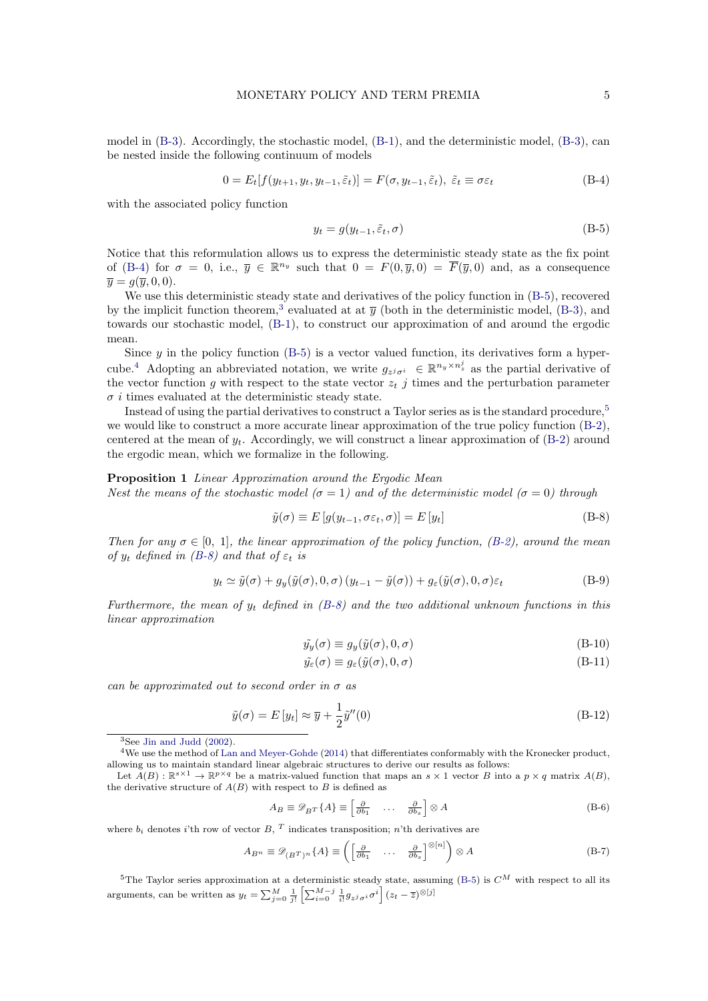model in [\(B-3\)](#page-3-4). Accordingly, the stochastic model, [\(B-1\)](#page-3-2), and the deterministic model, [\(B-3\)](#page-3-4), can be nested inside the following continuum of models

$$
0 = E_t[f(y_{t+1}, y_t, y_{t-1}, \tilde{\varepsilon}_t)] = F(\sigma, y_{t-1}, \tilde{\varepsilon}_t), \ \tilde{\varepsilon}_t \equiv \sigma \varepsilon_t \tag{B-4}
$$

with the associated policy function

<span id="page-4-1"></span><span id="page-4-0"></span>
$$
y_t = g(y_{t-1}, \tilde{\varepsilon}_t, \sigma) \tag{B-5}
$$

Notice that this reformulation allows us to express the deterministic steady state as the fix point of [\(B-4\)](#page-4-0) for  $\sigma = 0$ , i.e.,  $\overline{y} \in \mathbb{R}^{n_y}$  such that  $0 = F(0, \overline{y}, 0) = \overline{F}(\overline{y}, 0)$  and, as a consequence  $\overline{u} = q(\overline{u}, 0, 0).$ 

We use this deterministic steady state and derivatives of the policy function in  $(B-5)$ , recovered by the implicit function theorem,<sup>[3](#page-4-2)</sup> evaluated at at  $\bar{y}$  (both in the deterministic model, [\(B-3\)](#page-3-4), and towards our stochastic model, [\(B-1\)](#page-3-2), to construct our approximation of and around the ergodic mean.

Since  $y$  in the policy function [\(B-5\)](#page-4-1) is a vector valued function, its derivatives form a hyper-cube.<sup>[4](#page-4-3)</sup> Adopting an abbreviated notation, we write  $g_{z^j\sigma^i} \in \mathbb{R}^{n_y \times n_z^j}$  as the partial derivative of the vector function g with respect to the state vector  $z_t$  j times and the perturbation parameter  $\sigma i$  times evaluated at the deterministic steady state.

Instead of using the partial derivatives to construct a Taylor series as is the standard procedure,<sup>[5](#page-4-4)</sup> we would like to construct a more accurate linear approximation of the true policy function [\(B-2\)](#page-3-3), centered at the mean of  $y_t$ . Accordingly, we will construct a linear approximation of  $(B-2)$  around the ergodic mean, which we formalize in the following.

#### Proposition 1 Linear Approximation around the Ergodic Mean

Nest the means of the stochastic model ( $\sigma = 1$ ) and of the deterministic model ( $\sigma = 0$ ) through

<span id="page-4-5"></span>
$$
\tilde{y}(\sigma) \equiv E\left[g(y_{t-1}, \sigma \varepsilon_t, \sigma)\right] = E\left[y_t\right] \tag{B-8}
$$

Then for any  $\sigma \in [0, 1]$ , the linear approximation of the policy function, [\(B-2\)](#page-3-3), around the mean of  $y_t$  defined in [\(B-8\)](#page-4-5) and that of  $\varepsilon_t$  is

$$
y_t \simeq \tilde{y}(\sigma) + g_y(\tilde{y}(\sigma), 0, \sigma) (y_{t-1} - \tilde{y}(\sigma)) + g_{\varepsilon}(\tilde{y}(\sigma), 0, \sigma) \varepsilon_t
$$
 (B-9)

Furthermore, the mean of  $y_t$  defined in [\(B-8\)](#page-4-5) and the two additional unknown functions in this linear approximation

$$
\tilde{y}_y(\sigma) \equiv g_y(\tilde{y}(\sigma), 0, \sigma) \tag{B-10}
$$

$$
\tilde{y}_{\varepsilon}(\sigma) \equiv g_{\varepsilon}(\tilde{y}(\sigma), 0, \sigma) \tag{B-11}
$$

can be approximated out to second order in  $\sigma$  as

$$
\tilde{y}(\sigma) = E[y_t] \approx \overline{y} + \frac{1}{2}\tilde{y}''(0)
$$
\n(B-12)

$$
A_B \equiv \mathcal{D}_{B} \cdot \{A\} \equiv \begin{bmatrix} \frac{\partial}{\partial b_1} & \dots & \frac{\partial}{\partial b_s} \end{bmatrix} \otimes A
$$
 (B-6)

where  $b_i$  denotes i'th row of vector B, <sup>T</sup> indicates transposition; n'th derivatives are

$$
A_{B^n} \equiv \mathscr{D}_{(B^T)^n} \{ A \} \equiv \left( \begin{bmatrix} \frac{\partial}{\partial b_1} & \dots & \frac{\partial}{\partial b_s} \end{bmatrix} \otimes [n] \right) \otimes A \tag{B-7}
$$

<span id="page-4-4"></span><sup>5</sup>The Taylor series approximation at a deterministic steady state, assuming [\(B-5\)](#page-4-1) is  $C^M$  with respect to all its arguments, can be written as  $y_t = \sum_{j=0}^{M} \frac{1}{j!} \left[ \sum_{i=0}^{M-j} \frac{1}{i!} g_{z^j \sigma^i} \sigma^i \right] (z_t - \overline{z})^{\otimes [j]}$ 

<span id="page-4-3"></span><span id="page-4-2"></span> ${}^{3}$ See [Jin and Judd](#page-22-9) [\(2002\)](#page-22-9).

<sup>&</sup>lt;sup>4</sup>We use the method of [Lan and Meyer-Gohde](#page-22-10) [\(2014\)](#page-22-10) that differentiates conformably with the Kronecker product, allowing us to maintain standard linear algebraic structures to derive our results as follows:

Let  $A(B)$ :  $\mathbb{R}^{s \times 1} \to \mathbb{R}^{p \times q}$  be a matrix-valued function that maps an  $s \times 1$  vector B into a  $p \times q$  matrix  $A(B)$ , the derivative structure of  $A(B)$  with respect to B is defined as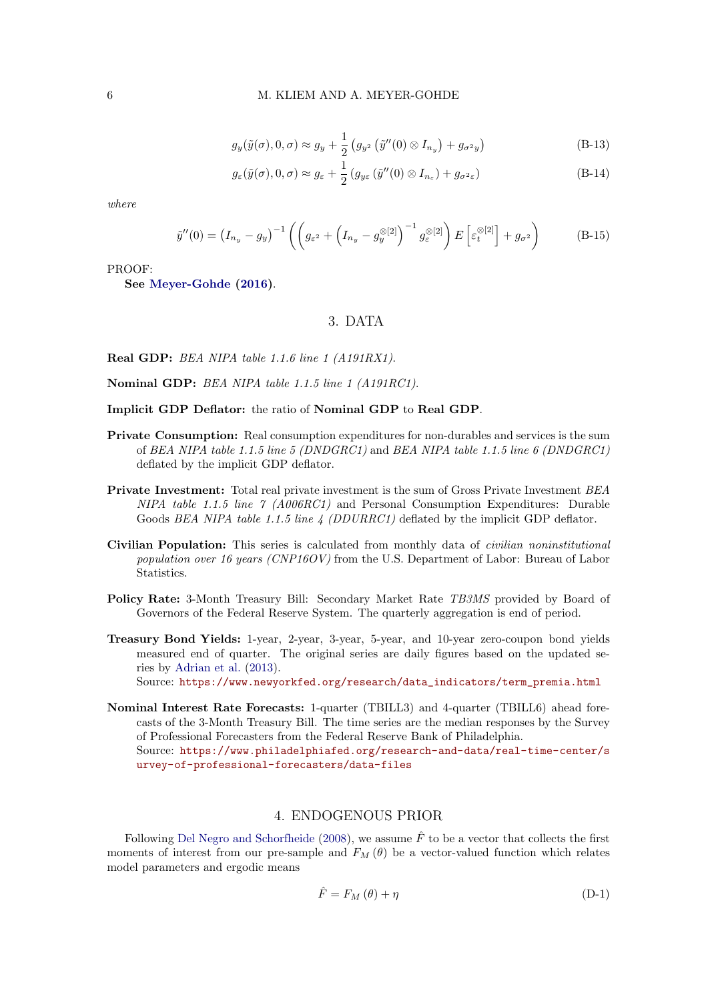$$
g_y(\tilde{y}(\sigma), 0, \sigma) \approx g_y + \frac{1}{2} \left( g_{y^2} \left( \tilde{y}''(0) \otimes I_{n_y} \right) + g_{\sigma^2 y} \right)
$$
(B-13)

$$
g_{\varepsilon}(\tilde{y}(\sigma), 0, \sigma) \approx g_{\varepsilon} + \frac{1}{2} \left( g_{y\varepsilon} \left( \tilde{y}''(0) \otimes I_{n_{\varepsilon}} \right) + g_{\sigma^2 \varepsilon} \right) \tag{B-14}
$$

where

$$
\tilde{y}''(0) = \left(I_{n_y} - g_y\right)^{-1} \left( \left(g_{\varepsilon^2} + \left(I_{n_y} - g_y^{\otimes[2]}\right)^{-1} g_{\varepsilon}^{\otimes[2]} \right) E\left[\varepsilon_t^{\otimes[2]}\right] + g_{\sigma^2} \right) \tag{B-15}
$$

PROOF:

See [Meyer-Gohde](#page-22-0) [\(2016\)](#page-22-0).

## 3. DATA

Real GDP: BEA NIPA table 1.1.6 line 1 (A191RX1).

Nominal GDP: BEA NIPA table 1.1.5 line 1 (A191RC1).

#### Implicit GDP Deflator: the ratio of Nominal GDP to Real GDP.

- Private Consumption: Real consumption expenditures for non-durables and services is the sum of BEA NIPA table 1.1.5 line 5 (DNDGRC1) and BEA NIPA table 1.1.5 line 6 (DNDGRC1) deflated by the implicit GDP deflator.
- Private Investment: Total real private investment is the sum of Gross Private Investment BEA NIPA table 1.1.5 line 7 (A006RC1) and Personal Consumption Expenditures: Durable Goods BEA NIPA table 1.1.5 line  $\frac{1}{4}$  (DDURRC1) deflated by the implicit GDP deflator.
- Civilian Population: This series is calculated from monthly data of civilian noninstitutional population over 16 years (CNP16OV) from the U.S. Department of Labor: Bureau of Labor Statistics.
- Policy Rate: 3-Month Treasury Bill: Secondary Market Rate TB3MS provided by Board of Governors of the Federal Reserve System. The quarterly aggregation is end of period.
- Treasury Bond Yields: 1-year, 2-year, 3-year, 5-year, and 10-year zero-coupon bond yields measured end of quarter. The original series are daily figures based on the updated series by [Adrian et al.](#page-21-11) [\(2013\)](#page-21-11). Source: [https://www.newyorkfed.org/research/data\\_indicators/term\\_premia.html](https://www.newyorkfed.org/research/data_indicators/term_premia.html)
- Nominal Interest Rate Forecasts: 1-quarter (TBILL3) and 4-quarter (TBILL6) ahead forecasts of the 3-Month Treasury Bill. The time series are the median responses by the Survey of Professional Forecasters from the Federal Reserve Bank of Philadelphia. Source: [https://www.philadelphiafed.org/research-and-data/real-time-center/s](https://www.philadelphiafed.org/research-and-data/real-time-center/survey-of-professional-forecasters/data-files) [urvey-of-professional-forecasters/data-files](https://www.philadelphiafed.org/research-and-data/real-time-center/survey-of-professional-forecasters/data-files)

## 4. ENDOGENOUS PRIOR

Following [Del Negro and Schorfheide](#page-21-12) [\(2008\)](#page-21-12), we assume  $\hat{F}$  to be a vector that collects the first moments of interest from our pre-sample and  $F_M(\theta)$  be a vector-valued function which relates model parameters and ergodic means

<span id="page-5-0"></span>
$$
\hat{F} = F_M(\theta) + \eta \tag{D-1}
$$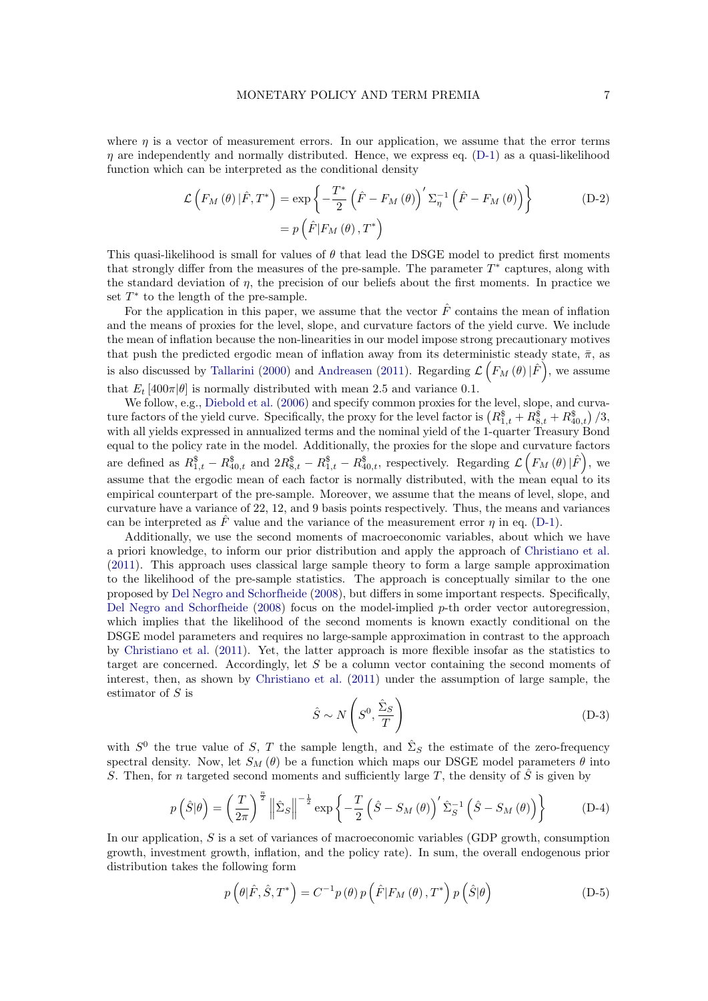where  $\eta$  is a vector of measurement errors. In our application, we assume that the error terms  $\eta$  are independently and normally distributed. Hence, we express eq. [\(D-1\)](#page-5-0) as a quasi-likelihood function which can be interpreted as the conditional density

$$
\mathcal{L}\left(F_M\left(\theta\right)|\hat{F},T^*\right) = \exp\left\{-\frac{T^*}{2}\left(\hat{F} - F_M\left(\theta\right)\right)'\Sigma_{\eta}^{-1}\left(\hat{F} - F_M\left(\theta\right)\right)\right\}
$$
\n
$$
= p\left(\hat{F}|F_M\left(\theta\right),T^*\right)
$$
\n(D-2)

This quasi-likelihood is small for values of  $\theta$  that lead the DSGE model to predict first moments that strongly differ from the measures of the pre-sample. The parameter  $T^*$  captures, along with the standard deviation of  $\eta$ , the precision of our beliefs about the first moments. In practice we set  $T^*$  to the length of the pre-sample.

For the application in this paper, we assume that the vector  $\hat{F}$  contains the mean of inflation and the means of proxies for the level, slope, and curvature factors of the yield curve. We include the mean of inflation because the non-linearities in our model impose strong precautionary motives that push the predicted ergodic mean of inflation away from its deterministic steady state,  $\bar{\pi}$ , as is also discussed by [Tallarini](#page-22-11) [\(2000\)](#page-22-11) and [Andreasen](#page-21-13) [\(2011\)](#page-21-13). Regarding  $\mathcal{L}\left(F_M\left(\theta\right)|\hat{F}\right)$ , we assume that  $E_t$  [400 $\pi|\theta|$  is normally distributed with mean 2.5 and variance 0.1.

We follow, e.g., [Diebold et al.](#page-21-14) [\(2006\)](#page-21-14) and specify common proxies for the level, slope, and curvature factors of the yield curve. Specifically, the proxy for the level factor is  $(R_{1,t}^{\$} + R_{8,t}^{\$} + R_{40,t}^{\$})/3$ , with all yields expressed in annualized terms and the nominal yield of the 1-quarter Treasury Bond equal to the policy rate in the model. Additionally, the proxies for the slope and curvature factors are defined as  $R_{1,t}^{\$} - R_{40,t}^{\$}$  and  $2R_{8,t}^{\$} - R_{1,t}^{\$} - R_{40,t}^{\$}$ , respectively. Regarding  $\mathcal{L}\left(F_M(\theta) | \hat{F}\right)$ , we assume that the ergodic mean of each factor is normally distributed, with the mean equal to its empirical counterpart of the pre-sample. Moreover, we assume that the means of level, slope, and curvature have a variance of 22, 12, and 9 basis points respectively. Thus, the means and variances can be interpreted as F value and the variance of the measurement error  $\eta$  in eq. [\(D-1\)](#page-5-0).

Additionally, we use the second moments of macroeconomic variables, about which we have a priori knowledge, to inform our prior distribution and apply the approach of [Christiano et al.](#page-21-15) [\(2011\)](#page-21-15). This approach uses classical large sample theory to form a large sample approximation to the likelihood of the pre-sample statistics. The approach is conceptually similar to the one proposed by [Del Negro and Schorfheide](#page-21-12) [\(2008\)](#page-21-12), but differs in some important respects. Specifically, [Del Negro and Schorfheide](#page-21-12) [\(2008\)](#page-21-12) focus on the model-implied p-th order vector autoregression, which implies that the likelihood of the second moments is known exactly conditional on the DSGE model parameters and requires no large-sample approximation in contrast to the approach by [Christiano et al.](#page-21-15) [\(2011\)](#page-21-15). Yet, the latter approach is more flexible insofar as the statistics to target are concerned. Accordingly, let S be a column vector containing the second moments of interest, then, as shown by [Christiano et al.](#page-21-15) [\(2011\)](#page-21-15) under the assumption of large sample, the estimator of S is

$$
\hat{S} \sim N\left(S^0, \frac{\hat{\Sigma}_S}{T}\right) \tag{D-3}
$$

with  $S^0$  the true value of S, T the sample length, and  $\hat{\Sigma}_S$  the estimate of the zero-frequency spectral density. Now, let  $S_M(\theta)$  be a function which maps our DSGE model parameters  $\theta$  into S. Then, for n targeted second moments and sufficiently large T, the density of  $\hat{S}$  is given by

$$
p\left(\hat{S}|\theta\right) = \left(\frac{T}{2\pi}\right)^{\frac{n}{2}} \left\|\hat{\Sigma}_{S}\right\|^{-\frac{1}{2}} \exp\left\{-\frac{T}{2}\left(\hat{S} - S_{M}\left(\theta\right)\right)^{\prime}\hat{\Sigma}_{S}^{-1}\left(\hat{S} - S_{M}\left(\theta\right)\right)\right\} \tag{D-4}
$$

In our application, S is a set of variances of macroeconomic variables (GDP growth, consumption growth, investment growth, inflation, and the policy rate). In sum, the overall endogenous prior distribution takes the following form

$$
p\left(\theta|\hat{F},\hat{S},T^*\right) = C^{-1}p\left(\theta\right)p\left(\hat{F}|F_M\left(\theta\right),T^*\right)p\left(\hat{S}|\theta\right)
$$
\n(D-5)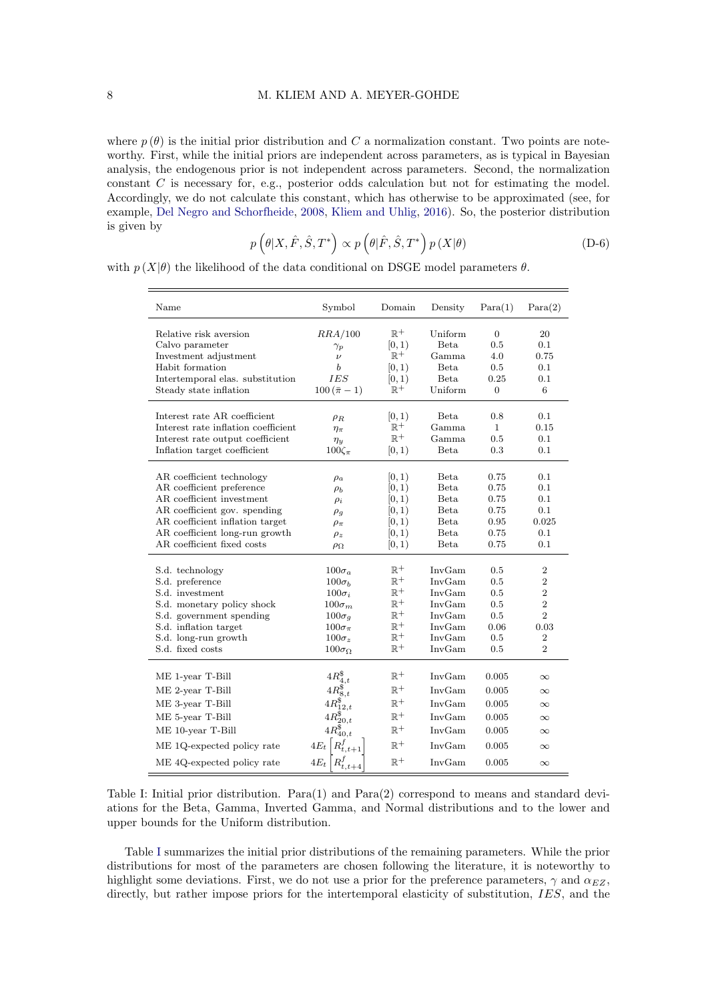where  $p(\theta)$  is the initial prior distribution and C a normalization constant. Two points are noteworthy. First, while the initial priors are independent across parameters, as is typical in Bayesian analysis, the endogenous prior is not independent across parameters. Second, the normalization constant  $C$  is necessary for, e.g., posterior odds calculation but not for estimating the model. Accordingly, we do not calculate this constant, which has otherwise to be approximated (see, for example, [Del Negro and Schorfheide,](#page-21-12) [2008,](#page-21-12) [Kliem and Uhlig,](#page-22-2) [2016\)](#page-22-2). So, the posterior distribution is given by

$$
p\left(\theta|X,\hat{F},\hat{S},T^*\right) \propto p\left(\theta|\hat{F},\hat{S},T^*\right)p\left(X|\theta\right) \tag{D-6}
$$

<span id="page-7-0"></span>with  $p(X|\theta)$  the likelihood of the data conditional on DSGE model parameters  $\theta$ .

| Name                                                | Symbol                         | Domain                   | Density             | Para(1)               | Para(2)          |
|-----------------------------------------------------|--------------------------------|--------------------------|---------------------|-----------------------|------------------|
| Relative risk aversion<br>Calvo parameter           | RRA/100<br>$\gamma_p$          | $\mathbb{R}^+$<br>[0, 1) | Uniform<br>Beta.    | $\overline{0}$<br>0.5 | 20<br>0.1        |
| Investment adjustment                               | $\nu$                          | $\mathbb{R}^+$           | Gamma               | 4.0                   | 0.75             |
| Habit formation<br>Intertemporal elas. substitution | b<br>IES                       | [0, 1)<br>[0, 1)         | Beta<br><b>Beta</b> | 0.5<br>0.25           | 0.1<br>0.1       |
| Steady state inflation                              | $100(\bar{\pi}-1)$             | $\mathbb{R}^+$           | Uniform             | $\overline{0}$        | 6                |
|                                                     |                                |                          |                     |                       |                  |
| Interest rate AR coefficient                        | $\rho_R$                       | [0, 1)                   | Beta.               | 0.8                   | 0.1              |
| Interest rate inflation coefficient                 | $\eta_{\pi}$                   | $\mathbb{R}^+$           | Gamma               | $\mathbf{1}$          | 0.15             |
| Interest rate output coefficient                    | $\eta_y$                       | $\mathbb{R}^+$           | Gamma               | 0.5                   | 0.1              |
| Inflation target coefficient                        | $100\zeta_{\pi}$               | [0, 1)                   | Beta                | 0.3                   | 0.1              |
|                                                     |                                |                          |                     |                       |                  |
| AR coefficient technology                           | $\rho_a$                       | [0, 1)                   | Beta                | $0.75\,$              | 0.1              |
| AR coefficient preference                           | $\rho_b$                       | [0, 1)                   | <b>Beta</b>         | 0.75                  | 0.1              |
| AR coefficient investment                           | $\rho_i$                       | [0, 1)                   | Beta                | 0.75                  | 0.1              |
| AR coefficient gov. spending                        | $\rho_g$                       | [0, 1)                   | Beta                | 0.75                  | 0.1              |
| AR coefficient inflation target                     | $\rho_{\pi}$                   | [0, 1)                   | Beta                | 0.95                  | 0.025            |
| AR coefficient long-run growth                      | $\rho_z$                       | [0, 1)                   | Beta                | 0.75                  | 0.1              |
| AR coefficient fixed costs                          | $\rho_{\Omega}$                | [0, 1)                   | <b>Beta</b>         | 0.75                  | 0.1              |
| S.d. technology                                     | $100\sigma_a$                  | $\mathbb{R}^+$           | InvGam              | 0.5                   | $\overline{2}$   |
| S.d. preference                                     | $100\sigma_b$                  | $\mathbb{R}^+$           | InvGam              | 0.5                   | $\overline{2}$   |
| S.d. investment                                     | $100\sigma_i$                  | $\mathbb{R}^+$           | InvGam              | 0.5                   | $\overline{2}$   |
| S.d. monetary policy shock                          | $100\sigma_m$                  | $\mathbb{R}^+$           | InvGam              | 0.5                   | $\overline{2}$   |
| S.d. government spending                            | $100\sigma_q$                  | $\mathbb{R}^+$           | InvGam              | 0.5                   | $\overline{2}$   |
| S.d. inflation target                               | $100\sigma_{\pi}$              | $\mathbb{R}^+$           | InvGam              | 0.06                  | 0.03             |
| S.d. long-run growth                                | $100\sigma_z$                  | $\mathbb{R}^+$           | InvGam              | $0.5\,$               | $\boldsymbol{2}$ |
| S.d. fixed costs                                    | $100\sigma_{\Omega}$           | $\mathbb{R}^+$           | InvGam              | 0.5                   | $\overline{2}$   |
|                                                     |                                |                          |                     |                       |                  |
| ME 1-year T-Bill                                    | $4R_{4,t}^{\$}$                | $\mathbb{R}^+$           | InvGam              | 0.005                 | $\infty$         |
| ME 2-year T-Bill                                    | $4R_{8,t}^{\$}$                | $\mathbb{R}^+$           | InvGam              | 0.005                 | ${}^{\infty}$    |
| ME 3-year T-Bill                                    |                                | $\mathbb{R}^+$           | InvGam              | 0.005                 | $\infty$         |
| ME 5-year T-Bill                                    | $4R_{20,t}^{\$}$               | $\mathbb{R}^+$           | InvGam              | 0.005                 | $\infty$         |
| ME 10-year T-Bill                                   | $4R_{40,t}^{\$}$               | $\mathbb{R}^+$           | InvGam              | 0.005                 | $\infty$         |
| ME 1Q-expected policy rate                          | $4E_t\left R_{t,t+1}^f\right $ | $\mathbb{R}^+$           | InvGam              | 0.005                 | $\infty$         |
| ME 4Q-expected policy rate                          | $4E_t\left R_{t,t+4}^f\right $ | $\mathbb{R}^+$           | InvGam              | 0.005                 | $\infty$         |

Table I: Initial prior distribution.  $Para(1)$  and  $Para(2)$  correspond to means and standard deviations for the Beta, Gamma, Inverted Gamma, and Normal distributions and to the lower and upper bounds for the Uniform distribution.

Table [I](#page-7-0) summarizes the initial prior distributions of the remaining parameters. While the prior distributions for most of the parameters are chosen following the literature, it is noteworthy to highlight some deviations. First, we do not use a prior for the preference parameters,  $\gamma$  and  $\alpha_{EZ}$ , directly, but rather impose priors for the intertemporal elasticity of substitution, IES, and the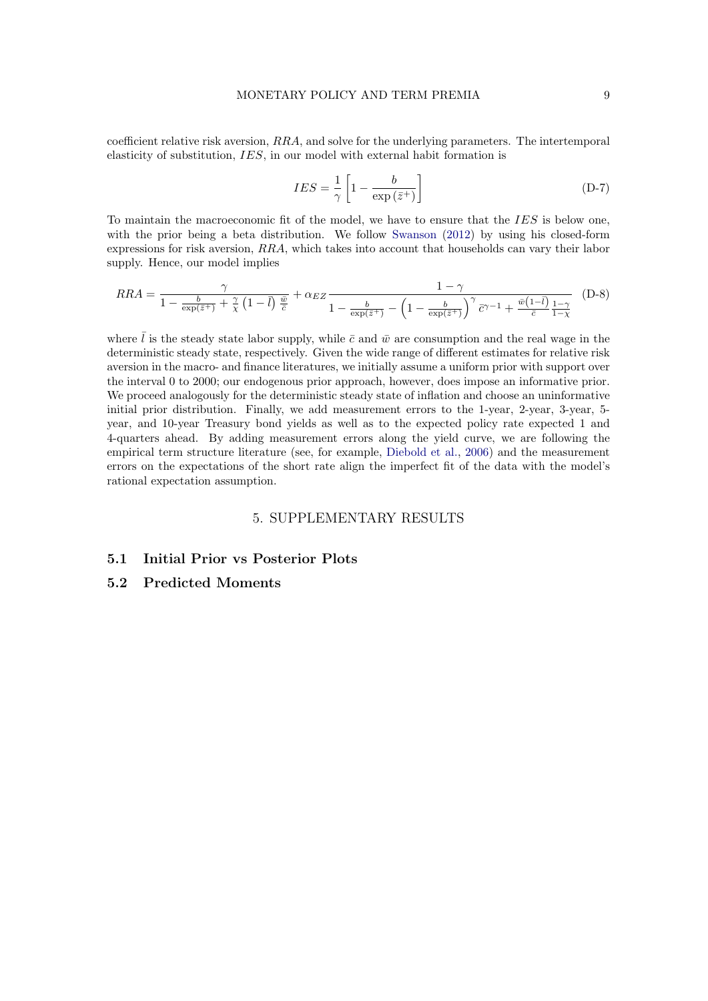coefficient relative risk aversion, RRA, and solve for the underlying parameters. The intertemporal elasticity of substitution, IES, in our model with external habit formation is

$$
IES = \frac{1}{\gamma} \left[ 1 - \frac{b}{\exp\left(\bar{z}^+\right)} \right] \tag{D-7}
$$

To maintain the macroeconomic fit of the model, we have to ensure that the *IES* is below one, with the prior being a beta distribution. We follow [Swanson](#page-22-12) [\(2012\)](#page-22-12) by using his closed-form expressions for risk aversion, RRA, which takes into account that households can vary their labor supply. Hence, our model implies

$$
RRA = \frac{\gamma}{1 - \frac{b}{\exp(\bar{z}^+)} + \frac{\gamma}{\chi} \left(1 - \bar{l}\right) \frac{\bar{w}}{\bar{c}}} + \alpha_{EZ} \frac{1 - \gamma}{1 - \frac{b}{\exp(\bar{z}^+)} - \left(1 - \frac{b}{\exp(\bar{z}^+)}\right)^{\gamma} \bar{c}^{\gamma - 1} + \frac{\bar{w}\left(1 - \bar{l}\right)}{\bar{c}} \frac{1 - \gamma}{1 - \chi}} \tag{D-8}
$$

where  $\overline{l}$  is the steady state labor supply, while  $\overline{c}$  and  $\overline{w}$  are consumption and the real wage in the deterministic steady state, respectively. Given the wide range of different estimates for relative risk aversion in the macro- and finance literatures, we initially assume a uniform prior with support over the interval 0 to 2000; our endogenous prior approach, however, does impose an informative prior. We proceed analogously for the deterministic steady state of inflation and choose an uninformative initial prior distribution. Finally, we add measurement errors to the 1-year, 2-year, 3-year, 5 year, and 10-year Treasury bond yields as well as to the expected policy rate expected 1 and 4-quarters ahead. By adding measurement errors along the yield curve, we are following the empirical term structure literature (see, for example, [Diebold et al.,](#page-21-14) [2006\)](#page-21-14) and the measurement errors on the expectations of the short rate align the imperfect fit of the data with the model's rational expectation assumption.

#### 5. SUPPLEMENTARY RESULTS

# 5.1 Initial Prior vs Posterior Plots

# 5.2 Predicted Moments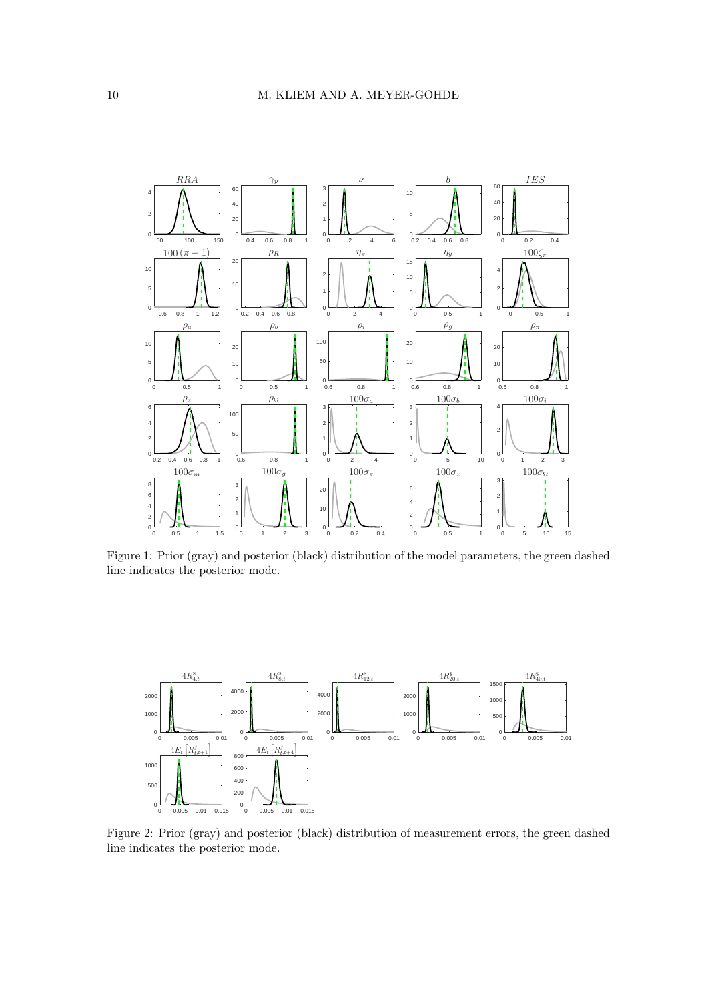

Figure 1: Prior (gray) and posterior (black) distribution of the model parameters, the green dashed line indicates the posterior mode.



Figure 2: Prior (gray) and posterior (black) distribution of measurement errors, the green dashed line indicates the posterior mode.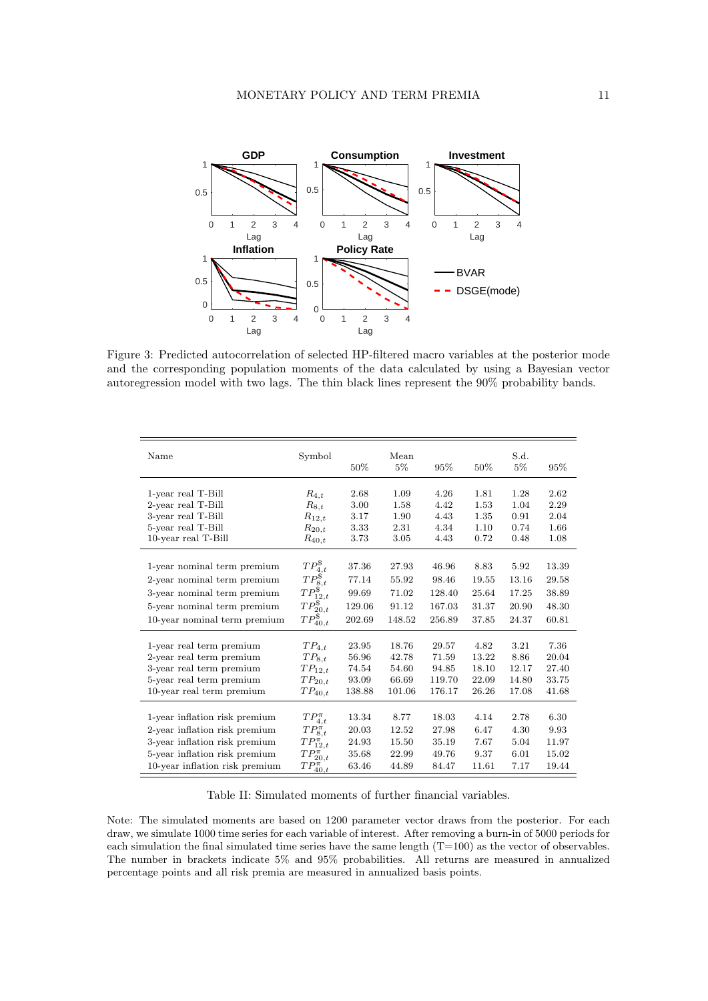

Figure 3: Predicted autocorrelation of selected HP-filtered macro variables at the posterior mode and the corresponding population moments of the data calculated by using a Bayesian vector autoregression model with two lags. The thin black lines represent the 90% probability bands.

| Name                           | Symbol            | 50%    | Mean<br>$5\%$ | 95%    | 50%   | S.d.<br>$5\%$ | 95%   |
|--------------------------------|-------------------|--------|---------------|--------|-------|---------------|-------|
|                                |                   |        |               |        |       |               |       |
| 1-year real T-Bill             | $R_{4,t}$         | 2.68   | 1.09          | 4.26   | 1.81  | 1.28          | 2.62  |
| 2-year real T-Bill             | $R_{8,t}$         | 3.00   | 1.58          | 4.42   | 1.53  | 1.04          | 2.29  |
| 3-year real T-Bill             | $R_{12,t}$        | 3.17   | 1.90          | 4.43   | 1.35  | 0.91          | 2.04  |
| 5-year real T-Bill             | $R_{20,t}$        | 3.33   | 2.31          | 4.34   | 1.10  | 0.74          | 1.66  |
| 10-year real T-Bill            | $R_{40,t}$        | 3.73   | 3.05          | 4.43   | 0.72  | 0.48          | 1.08  |
|                                |                   |        |               |        |       |               |       |
| 1-year nominal term premium    | $TP_{4,t}^{\$}$   | 37.36  | 27.93         | 46.96  | 8.83  | 5.92          | 13.39 |
| 2-year nominal term premium    | $TP_{8,t}^{\$}$   | 77.14  | 55.92         | 98.46  | 19.55 | 13.16         | 29.58 |
| 3-year nominal term premium    | $TP_{12,t}^{\$}$  | 99.69  | 71.02         | 128.40 | 25.64 | 17.25         | 38.89 |
| 5-year nominal term premium    | $TP_{20,t}^{\$}$  | 129.06 | 91.12         | 167.03 | 31.37 | 20.90         | 48.30 |
| 10-year nominal term premium   | $TP_{40,t}^{\$}$  | 202.69 | 148.52        | 256.89 | 37.85 | 24.37         | 60.81 |
|                                |                   |        |               |        |       |               |       |
| 1-year real term premium       | $TP_{4,t}$        | 23.95  | 18.76         | 29.57  | 4.82  | 3.21          | 7.36  |
| 2-year real term premium       | $TP_{8,t}$        | 56.96  | 42.78         | 71.59  | 13.22 | 8.86          | 20.04 |
| 3-year real term premium       | $TP_{12,t}$       | 74.54  | 54.60         | 94.85  | 18.10 | 12.17         | 27.40 |
| 5-year real term premium       | $TP_{20,t}$       | 93.09  | 66.69         | 119.70 | 22.09 | 14.80         | 33.75 |
| 10-year real term premium      | $TP_{40,t}$       | 138.88 | 101.06        | 176.17 | 26.26 | 17.08         | 41.68 |
|                                |                   |        |               |        |       |               |       |
| 1-year inflation risk premium  | $TP_{4,t}^{\pi}$  | 13.34  | 8.77          | 18.03  | 4.14  | 2.78          | 6.30  |
| 2-year inflation risk premium  | $TP_{8,t}^{\pi}$  | 20.03  | 12.52         | 27.98  | 6.47  | 4.30          | 9.93  |
| 3-year inflation risk premium  | $TP_{12,t}^{\pi}$ | 24.93  | 15.50         | 35.19  | 7.67  | 5.04          | 11.97 |
| 5-year inflation risk premium  | $TP_{20,t}^{\pi}$ | 35.68  | 22.99         | 49.76  | 9.37  | 6.01          | 15.02 |
| 10-year inflation risk premium | $TP_{40,t}^{\pi}$ | 63.46  | 44.89         | 84.47  | 11.61 | 7.17          | 19.44 |

Table II: Simulated moments of further financial variables.

Note: The simulated moments are based on 1200 parameter vector draws from the posterior. For each draw, we simulate 1000 time series for each variable of interest. After removing a burn-in of 5000 periods for each simulation the final simulated time series have the same length  $(T=100)$  as the vector of observables. The number in brackets indicate 5% and 95% probabilities. All returns are measured in annualized percentage points and all risk premia are measured in annualized basis points.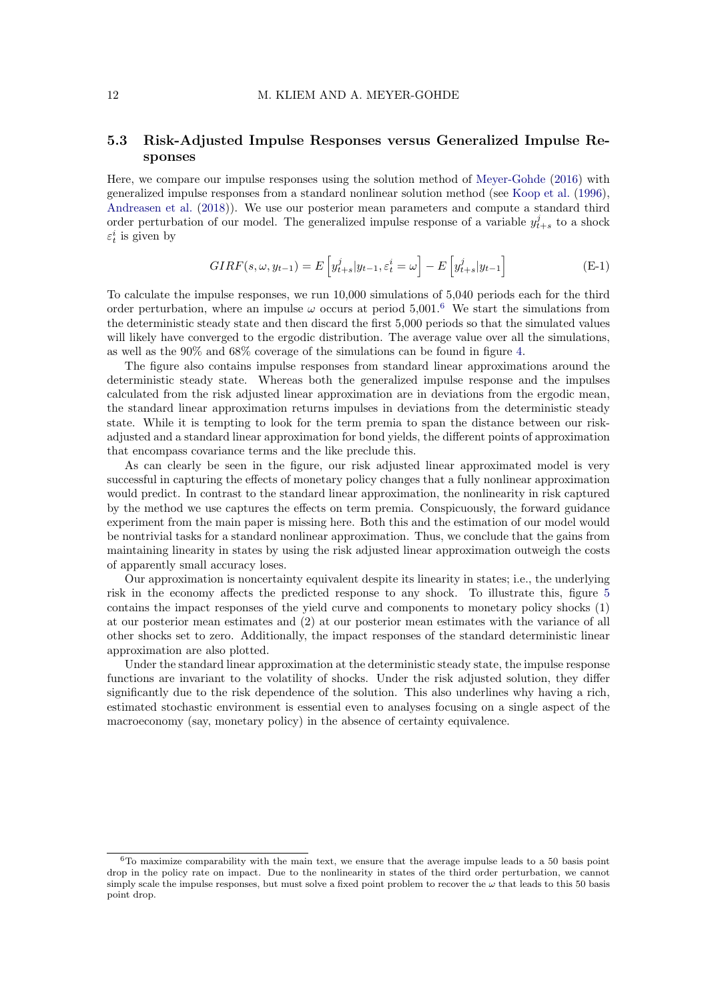# 5.3 Risk-Adjusted Impulse Responses versus Generalized Impulse Responses

Here, we compare our impulse responses using the solution method of [Meyer-Gohde](#page-22-0) [\(2016\)](#page-22-0) with generalized impulse responses from a standard nonlinear solution method (see [Koop et al.](#page-22-13) [\(1996\)](#page-22-13), [Andreasen et al.](#page-21-3) [\(2018\)](#page-21-3)). We use our posterior mean parameters and compute a standard third order perturbation of our model. The generalized impulse response of a variable  $y_{t+s}^j$  to a shock  $\varepsilon_t^i$  is given by

$$
GIRF(s, \omega, y_{t-1}) = E\left[y_{t+s}^j | y_{t-1}, \varepsilon_t^i = \omega\right] - E\left[y_{t+s}^j | y_{t-1}\right]
$$
(E-1)

To calculate the impulse responses, we run 10,000 simulations of 5,040 periods each for the third order perturbation, where an impulse  $\omega$  occurs at period 5,001.<sup>[6](#page-11-0)</sup> We start the simulations from the deterministic steady state and then discard the first 5,000 periods so that the simulated values will likely have converged to the ergodic distribution. The average value over all the simulations, as well as the 90% and 68% coverage of the simulations can be found in figure [4.](#page-12-0)

The figure also contains impulse responses from standard linear approximations around the deterministic steady state. Whereas both the generalized impulse response and the impulses calculated from the risk adjusted linear approximation are in deviations from the ergodic mean, the standard linear approximation returns impulses in deviations from the deterministic steady state. While it is tempting to look for the term premia to span the distance between our riskadjusted and a standard linear approximation for bond yields, the different points of approximation that encompass covariance terms and the like preclude this.

As can clearly be seen in the figure, our risk adjusted linear approximated model is very successful in capturing the effects of monetary policy changes that a fully nonlinear approximation would predict. In contrast to the standard linear approximation, the nonlinearity in risk captured by the method we use captures the effects on term premia. Conspicuously, the forward guidance experiment from the main paper is missing here. Both this and the estimation of our model would be nontrivial tasks for a standard nonlinear approximation. Thus, we conclude that the gains from maintaining linearity in states by using the risk adjusted linear approximation outweigh the costs of apparently small accuracy loses.

Our approximation is noncertainty equivalent despite its linearity in states; i.e., the underlying risk in the economy affects the predicted response to any shock. To illustrate this, figure [5](#page-13-0) contains the impact responses of the yield curve and components to monetary policy shocks (1) at our posterior mean estimates and (2) at our posterior mean estimates with the variance of all other shocks set to zero. Additionally, the impact responses of the standard deterministic linear approximation are also plotted.

Under the standard linear approximation at the deterministic steady state, the impulse response functions are invariant to the volatility of shocks. Under the risk adjusted solution, they differ significantly due to the risk dependence of the solution. This also underlines why having a rich, estimated stochastic environment is essential even to analyses focusing on a single aspect of the macroeconomy (say, monetary policy) in the absence of certainty equivalence.

<span id="page-11-0"></span> $6T<sub>0</sub>$  maximize comparability with the main text, we ensure that the average impulse leads to a 50 basis point drop in the policy rate on impact. Due to the nonlinearity in states of the third order perturbation, we cannot simply scale the impulse responses, but must solve a fixed point problem to recover the  $\omega$  that leads to this 50 basis point drop.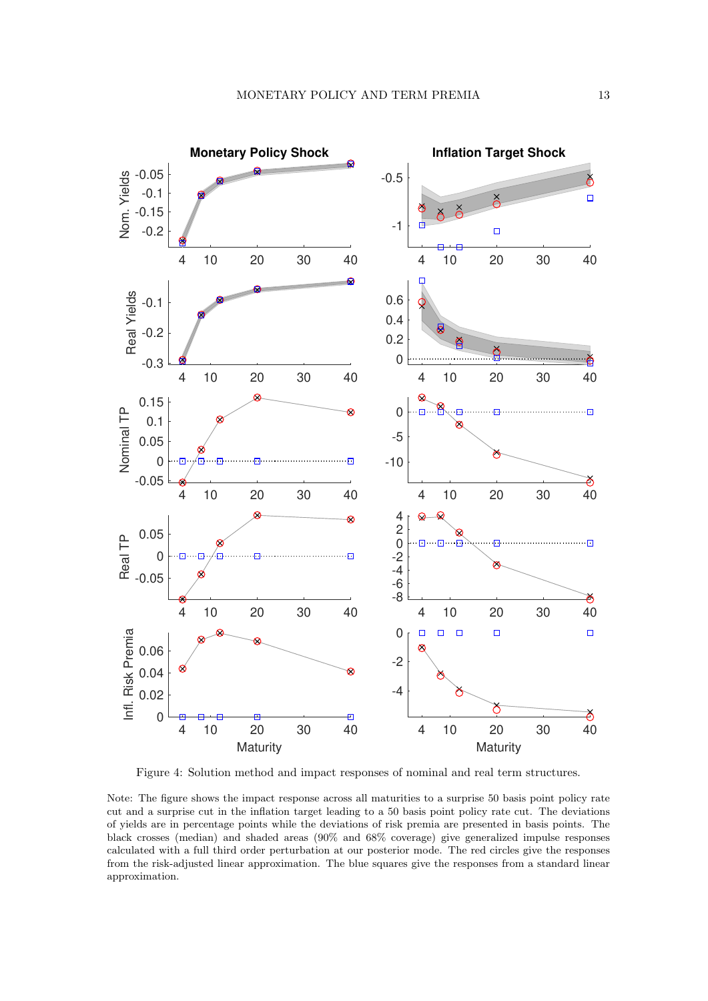<span id="page-12-0"></span>

Figure 4: Solution method and impact responses of nominal and real term structures.

Note: The figure shows the impact response across all maturities to a surprise 50 basis point policy rate cut and a surprise cut in the inflation target leading to a 50 basis point policy rate cut. The deviations of yields are in percentage points while the deviations of risk premia are presented in basis points. The black crosses (median) and shaded areas (90% and 68% coverage) give generalized impulse responses calculated with a full third order perturbation at our posterior mode. The red circles give the responses from the risk-adjusted linear approximation. The blue squares give the responses from a standard linear approximation.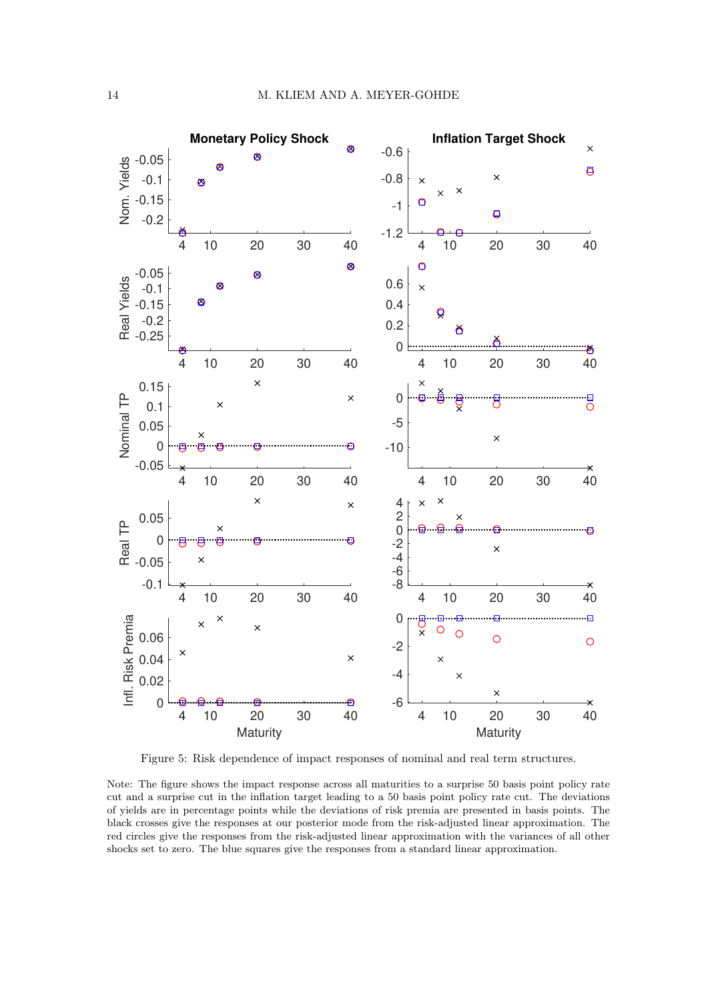<span id="page-13-0"></span>

Figure 5: Risk dependence of impact responses of nominal and real term structures.

Note: The figure shows the impact response across all maturities to a surprise 50 basis point policy rate cut and a surprise cut in the inflation target leading to a 50 basis point policy rate cut. The deviations of yields are in percentage points while the deviations of risk premia are presented in basis points. The black crosses give the responses at our posterior mode from the risk-adjusted linear approximation. The red circles give the responses from the risk-adjusted linear approximation with the variances of all other shocks set to zero. The blue squares give the responses from a standard linear approximation.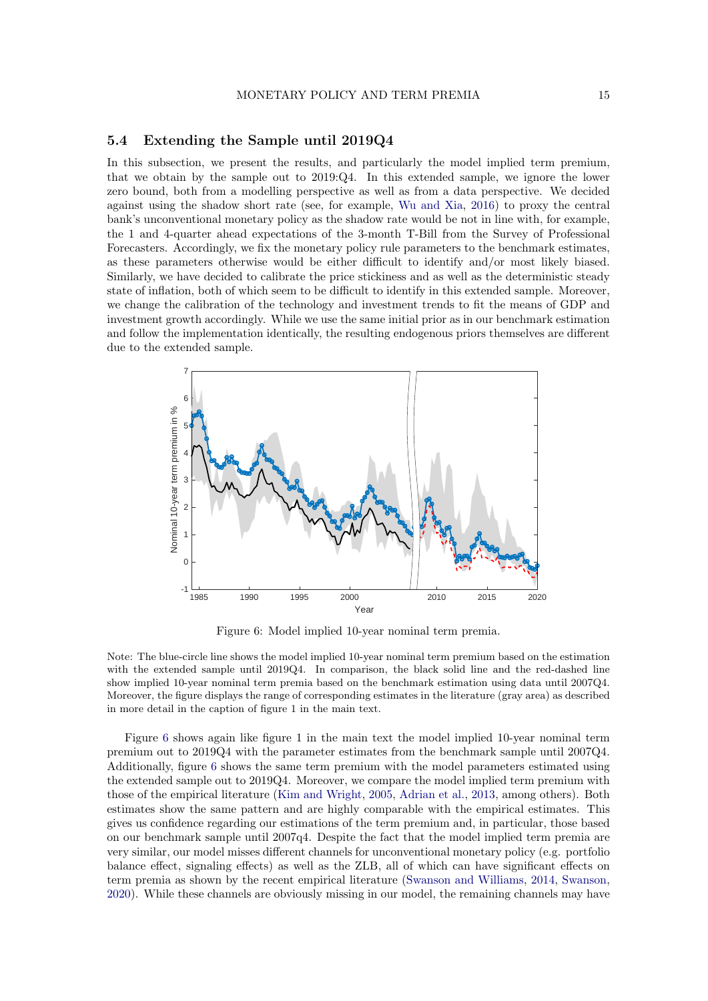#### 5.4 Extending the Sample until 2019Q4

In this subsection, we present the results, and particularly the model implied term premium, that we obtain by the sample out to 2019:Q4. In this extended sample, we ignore the lower zero bound, both from a modelling perspective as well as from a data perspective. We decided against using the shadow short rate (see, for example, [Wu and Xia,](#page-23-1) [2016\)](#page-23-1) to proxy the central bank's unconventional monetary policy as the shadow rate would be not in line with, for example, the 1 and 4-quarter ahead expectations of the 3-month T-Bill from the Survey of Professional Forecasters. Accordingly, we fix the monetary policy rule parameters to the benchmark estimates, as these parameters otherwise would be either difficult to identify and/or most likely biased. Similarly, we have decided to calibrate the price stickiness and as well as the deterministic steady state of inflation, both of which seem to be difficult to identify in this extended sample. Moreover, we change the calibration of the technology and investment trends to fit the means of GDP and investment growth accordingly. While we use the same initial prior as in our benchmark estimation and follow the implementation identically, the resulting endogenous priors themselves are different due to the extended sample.

<span id="page-14-0"></span>

Figure 6: Model implied 10-year nominal term premia.

Note: The blue-circle line shows the model implied 10-year nominal term premium based on the estimation with the extended sample until 2019Q4. In comparison, the black solid line and the red-dashed line show implied 10-year nominal term premia based on the benchmark estimation using data until 2007Q4. Moreover, the figure displays the range of corresponding estimates in the literature (gray area) as described in more detail in the caption of figure 1 in the main text.

Figure [6](#page-14-0) shows again like figure 1 in the main text the model implied 10-year nominal term premium out to 2019Q4 with the parameter estimates from the benchmark sample until 2007Q4. Additionally, figure [6](#page-14-0) shows the same term premium with the model parameters estimated using the extended sample out to 2019Q4. Moreover, we compare the model implied term premium with those of the empirical literature [\(Kim and Wright,](#page-22-14) [2005,](#page-22-14) [Adrian et al.,](#page-21-11) [2013,](#page-21-11) among others). Both estimates show the same pattern and are highly comparable with the empirical estimates. This gives us confidence regarding our estimations of the term premium and, in particular, those based on our benchmark sample until 2007q4. Despite the fact that the model implied term premia are very similar, our model misses different channels for unconventional monetary policy (e.g. portfolio balance effect, signaling effects) as well as the ZLB, all of which can have significant effects on term premia as shown by the recent empirical literature [\(Swanson and Williams,](#page-22-15) [2014,](#page-22-15) [Swanson,](#page-22-16) [2020\)](#page-22-16). While these channels are obviously missing in our model, the remaining channels may have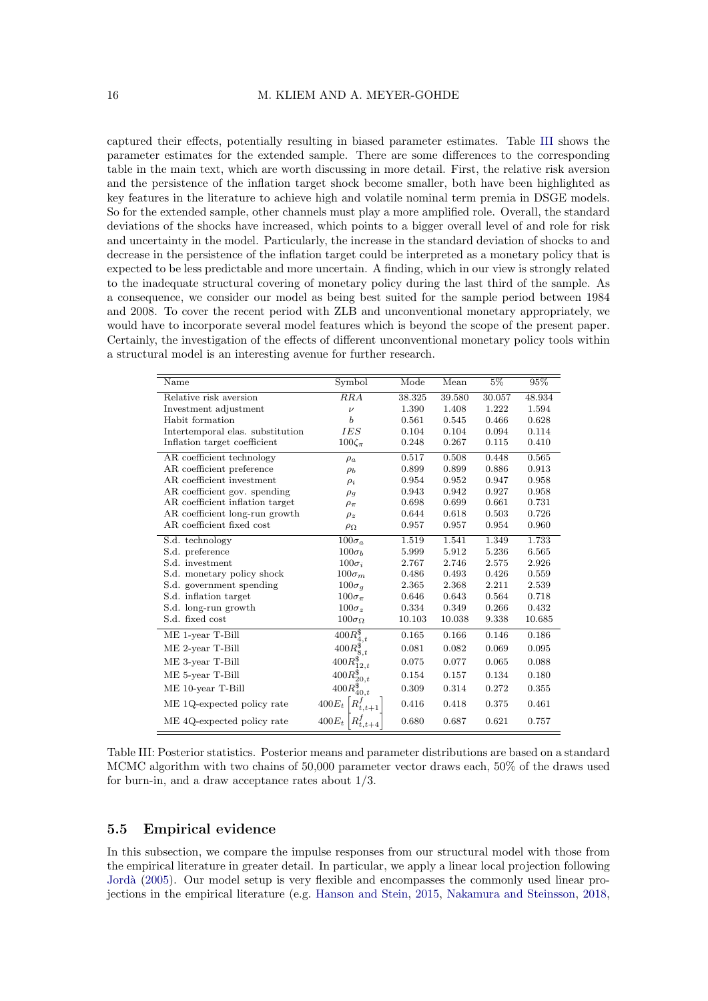captured their effects, potentially resulting in biased parameter estimates. Table [III](#page-15-0) shows the parameter estimates for the extended sample. There are some differences to the corresponding table in the main text, which are worth discussing in more detail. First, the relative risk aversion and the persistence of the inflation target shock become smaller, both have been highlighted as key features in the literature to achieve high and volatile nominal term premia in DSGE models. So for the extended sample, other channels must play a more amplified role. Overall, the standard deviations of the shocks have increased, which points to a bigger overall level of and role for risk and uncertainty in the model. Particularly, the increase in the standard deviation of shocks to and decrease in the persistence of the inflation target could be interpreted as a monetary policy that is expected to be less predictable and more uncertain. A finding, which in our view is strongly related to the inadequate structural covering of monetary policy during the last third of the sample. As a consequence, we consider our model as being best suited for the sample period between 1984 and 2008. To cover the recent period with ZLB and unconventional monetary appropriately, we would have to incorporate several model features which is beyond the scope of the present paper. Certainly, the investigation of the effects of different unconventional monetary policy tools within a structural model is an interesting avenue for further research.

<span id="page-15-0"></span>

| Name                             | Symbol               | Mode   | $\overline{\mathrm{Mean}}$ | $5\%$  | 95%    |
|----------------------------------|----------------------|--------|----------------------------|--------|--------|
| Relative risk aversion           | $_{RRA}$             | 38.325 | 39.580                     | 30.057 | 48.934 |
| Investment adjustment            | $\overline{\nu}$     | 1.390  | 1.408                      | 1.222  | 1.594  |
| Habit formation                  | b                    | 0.561  | 0.545                      | 0.466  | 0.628  |
| Intertemporal elas. substitution | <b>IES</b>           | 0.104  | 0.104                      | 0.094  | 0.114  |
| Inflation target coefficient     | $100\zeta_{\pi}$     | 0.248  | 0.267                      | 0.115  | 0.410  |
| AR coefficient technology        | $\rho_a$             | 0.517  | 0.508                      | 0.448  | 0.565  |
| AR coefficient preference        | $\rho_b$             | 0.899  | 0.899                      | 0.886  | 0.913  |
| AR coefficient investment        | $\rho_i$             | 0.954  | 0.952                      | 0.947  | 0.958  |
| AR coefficient gov. spending     | $\rho_g$             | 0.943  | 0.942                      | 0.927  | 0.958  |
| AR coefficient inflation target  | $\rho_{\pi}$         | 0.698  | 0.699                      | 0.661  | 0.731  |
| AR coefficient long-run growth   | $\rho_z$             | 0.644  | 0.618                      | 0.503  | 0.726  |
| AR coefficient fixed cost        | $\rho_{\Omega}$      | 0.957  | 0.957                      | 0.954  | 0.960  |
| S.d. technology                  | $100\sigma_a$        | 1.519  | 1.541                      | 1.349  | 1.733  |
| S.d. preference                  | $100\sigma_b$        | 5.999  | 5.912                      | 5.236  | 6.565  |
| S.d. investment                  | $100\sigma_i$        | 2.767  | 2.746                      | 2.575  | 2.926  |
| S.d. monetary policy shock       | $100\sigma_m$        | 0.486  | 0.493                      | 0.426  | 0.559  |
| S.d. government spending         | $100\sigma_q$        | 2.365  | 2.368                      | 2.211  | 2.539  |
| S.d. inflation target            | $100\sigma_{\pi}$    | 0.646  | 0.643                      | 0.564  | 0.718  |
| S.d. long-run growth             | $100\sigma_z$        | 0.334  | 0.349                      | 0.266  | 0.432  |
| S.d. fixed cost                  | $100\sigma_{\Omega}$ | 10.103 | 10.038                     | 9.338  | 10.685 |
| ME 1-year T-Bill                 | $400R_{4,t}^{\$}$    | 0.165  | 0.166                      | 0.146  | 0.186  |
| ME 2-year T-Bill                 | $400R_{8,t}^{\$}$    | 0.081  | 0.082                      | 0.069  | 0.095  |
| ME 3-year T-Bill                 | $400R_{12,t}^{\$}$   | 0.075  | 0.077                      | 0.065  | 0.088  |
| ME 5-year T-Bill                 | $400R_{20,t}^{\$}$   | 0.154  | 0.157                      | 0.134  | 0.180  |
| ME 10-year T-Bill                | $400R_{40,t}^{\$}$   | 0.309  | 0.314                      | 0.272  | 0.355  |
| ME 1Q-expected policy rate       | $400E_t$             | 0.416  | 0.418                      | 0.375  | 0.461  |
| ME 4Q-expected policy rate       | $400E_t$             | 0.680  | 0.687                      | 0.621  | 0.757  |

| Table III: Posterior statistics. Posterior means and parameter distributions are based on a standard |  |
|------------------------------------------------------------------------------------------------------|--|
| MCMC algorithm with two chains of 50,000 parameter vector draws each, 50% of the draws used          |  |
| for burn-in, and a draw acceptance rates about $1/3$ .                                               |  |

#### 5.5 Empirical evidence

In this subsection, we compare the impulse responses from our structural model with those from the empirical literature in greater detail. In particular, we apply a linear local projection following [Jord`a](#page-22-17) [\(2005\)](#page-22-17). Our model setup is very flexible and encompasses the commonly used linear projections in the empirical literature (e.g. [Hanson and Stein,](#page-21-16) [2015,](#page-21-16) [Nakamura and Steinsson,](#page-22-18) [2018,](#page-22-18)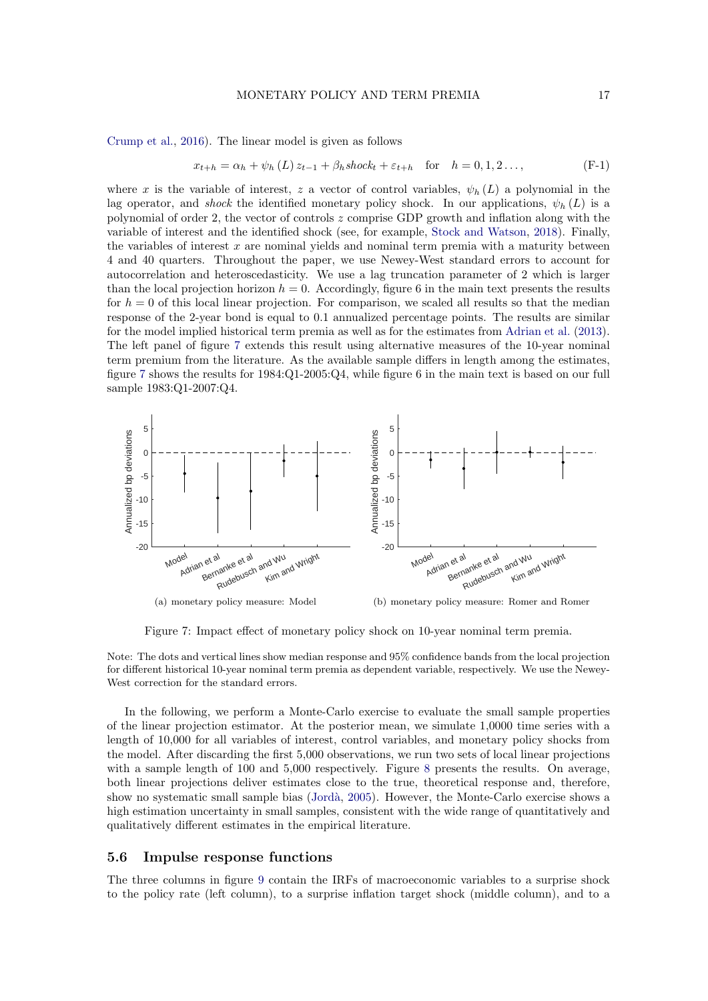[Crump et al.,](#page-21-17) [2016\)](#page-21-17). The linear model is given as follows

$$
x_{t+h} = \alpha_h + \psi_h(L) z_{t-1} + \beta_h \operatorname{shock}_t + \varepsilon_{t+h} \quad \text{for} \quad h = 0, 1, 2 \dots,
$$
 (F-1)

where x is the variable of interest, z a vector of control variables,  $\psi_h(L)$  a polynomial in the lag operator, and shock the identified monetary policy shock. In our applications,  $\psi_h(L)$  is a polynomial of order 2, the vector of controls  $z$  comprise GDP growth and inflation along with the variable of interest and the identified shock (see, for example, [Stock and Watson,](#page-22-19) [2018\)](#page-22-19). Finally, the variables of interest  $x$  are nominal yields and nominal term premia with a maturity between 4 and 40 quarters. Throughout the paper, we use Newey-West standard errors to account for autocorrelation and heteroscedasticity. We use a lag truncation parameter of 2 which is larger than the local projection horizon  $h = 0$ . Accordingly, figure 6 in the main text presents the results for  $h = 0$  of this local linear projection. For comparison, we scaled all results so that the median response of the 2-year bond is equal to 0.1 annualized percentage points. The results are similar for the model implied historical term premia as well as for the estimates from [Adrian et al.](#page-21-11) [\(2013\)](#page-21-11). The left panel of figure [7](#page-16-0) extends this result using alternative measures of the 10-year nominal term premium from the literature. As the available sample differs in length among the estimates, figure [7](#page-16-0) shows the results for 1984:Q1-2005:Q4, while figure 6 in the main text is based on our full sample 1983:Q1-2007:Q4.

<span id="page-16-0"></span>

Figure 7: Impact effect of monetary policy shock on 10-year nominal term premia.

Note: The dots and vertical lines show median response and 95% confidence bands from the local projection for different historical 10-year nominal term premia as dependent variable, respectively. We use the Newey-West correction for the standard errors.

In the following, we perform a Monte-Carlo exercise to evaluate the small sample properties of the linear projection estimator. At the posterior mean, we simulate 1,0000 time series with a length of 10,000 for all variables of interest, control variables, and monetary policy shocks from the model. After discarding the first 5,000 observations, we run two sets of local linear projections with a sample length of 100 and 5,000 respectively. Figure [8](#page-17-0) presents the results. On average, both linear projections deliver estimates close to the true, theoretical response and, therefore, show no systematic small sample bias (Jordà, [2005\)](#page-22-17). However, the Monte-Carlo exercise shows a high estimation uncertainty in small samples, consistent with the wide range of quantitatively and qualitatively different estimates in the empirical literature.

#### 5.6 Impulse response functions

The three columns in figure [9](#page-18-0) contain the IRFs of macroeconomic variables to a surprise shock to the policy rate (left column), to a surprise inflation target shock (middle column), and to a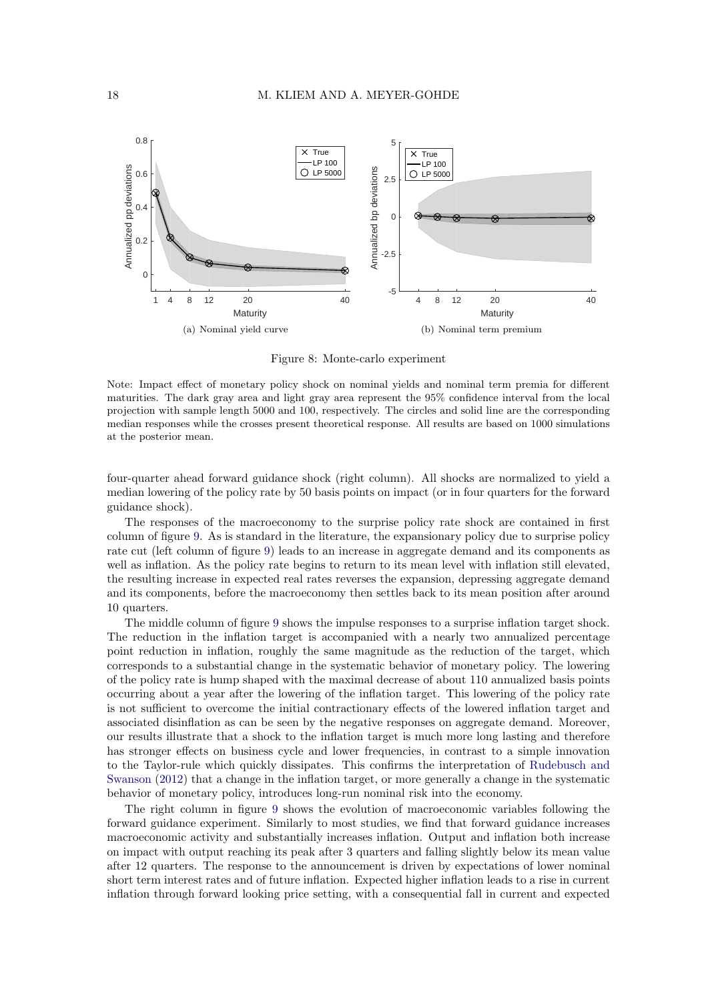<span id="page-17-0"></span>

Figure 8: Monte-carlo experiment

Note: Impact effect of monetary policy shock on nominal yields and nominal term premia for different maturities. The dark gray area and light gray area represent the 95% confidence interval from the local projection with sample length 5000 and 100, respectively. The circles and solid line are the corresponding median responses while the crosses present theoretical response. All results are based on 1000 simulations at the posterior mean.

four-quarter ahead forward guidance shock (right column). All shocks are normalized to yield a median lowering of the policy rate by 50 basis points on impact (or in four quarters for the forward guidance shock).

The responses of the macroeconomy to the surprise policy rate shock are contained in first column of figure [9.](#page-18-0) As is standard in the literature, the expansionary policy due to surprise policy rate cut (left column of figure [9\)](#page-18-0) leads to an increase in aggregate demand and its components as well as inflation. As the policy rate begins to return to its mean level with inflation still elevated, the resulting increase in expected real rates reverses the expansion, depressing aggregate demand and its components, before the macroeconomy then settles back to its mean position after around 10 quarters.

The middle column of figure [9](#page-18-0) shows the impulse responses to a surprise inflation target shock. The reduction in the inflation target is accompanied with a nearly two annualized percentage point reduction in inflation, roughly the same magnitude as the reduction of the target, which corresponds to a substantial change in the systematic behavior of monetary policy. The lowering of the policy rate is hump shaped with the maximal decrease of about 110 annualized basis points occurring about a year after the lowering of the inflation target. This lowering of the policy rate is not sufficient to overcome the initial contractionary effects of the lowered inflation target and associated disinflation as can be seen by the negative responses on aggregate demand. Moreover, our results illustrate that a shock to the inflation target is much more long lasting and therefore has stronger effects on business cycle and lower frequencies, in contrast to a simple innovation to the Taylor-rule which quickly dissipates. This confirms the interpretation of [Rudebusch and](#page-22-5) [Swanson](#page-22-5) [\(2012\)](#page-22-5) that a change in the inflation target, or more generally a change in the systematic behavior of monetary policy, introduces long-run nominal risk into the economy.

The right column in figure [9](#page-18-0) shows the evolution of macroeconomic variables following the forward guidance experiment. Similarly to most studies, we find that forward guidance increases macroeconomic activity and substantially increases inflation. Output and inflation both increase on impact with output reaching its peak after 3 quarters and falling slightly below its mean value after 12 quarters. The response to the announcement is driven by expectations of lower nominal short term interest rates and of future inflation. Expected higher inflation leads to a rise in current inflation through forward looking price setting, with a consequential fall in current and expected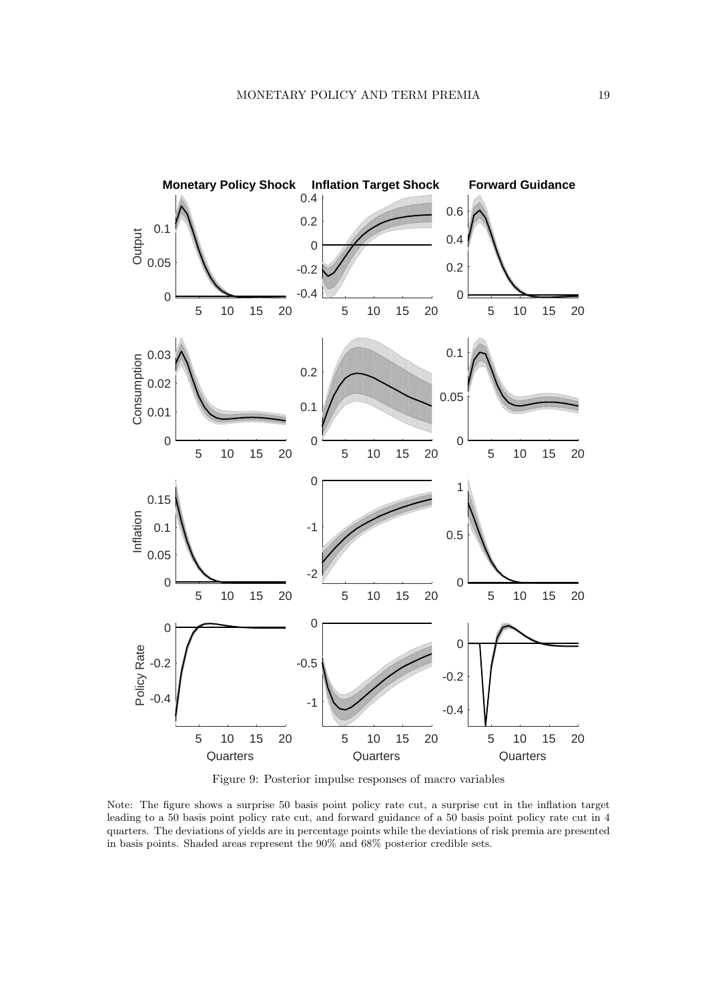<span id="page-18-0"></span>

Figure 9: Posterior impulse responses of macro variables

Note: The figure shows a surprise 50 basis point policy rate cut, a surprise cut in the inflation target leading to a 50 basis point policy rate cut, and forward guidance of a 50 basis point policy rate cut in 4 quarters. The deviations of yields are in percentage points while the deviations of risk premia are presented in basis points. Shaded areas represent the 90% and 68% posterior credible sets.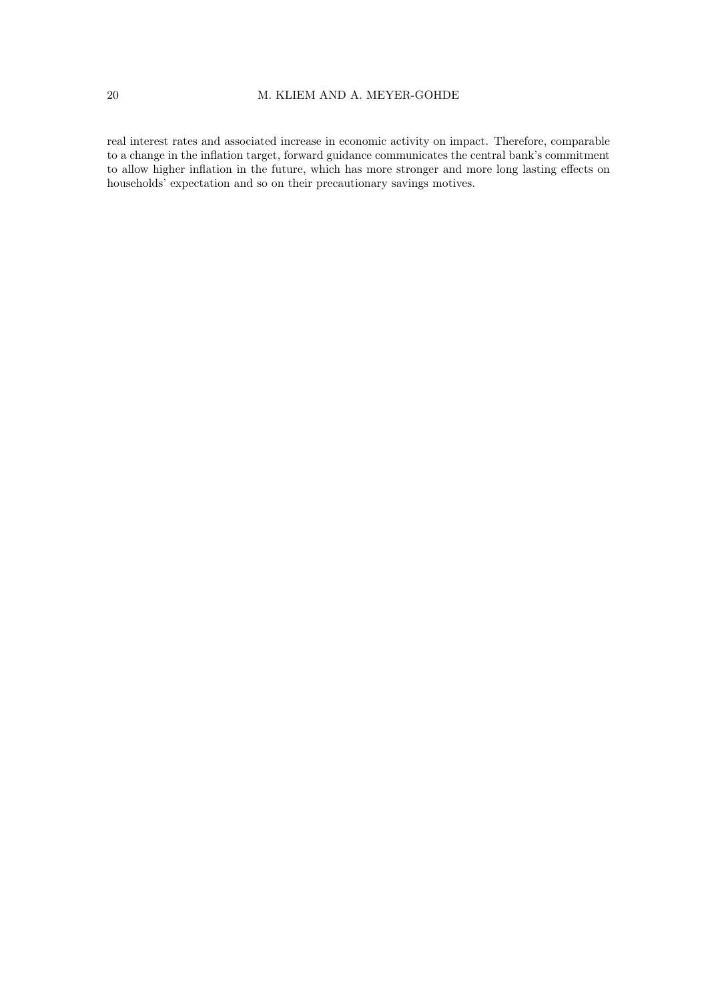#### 20 M. KLIEM AND A. MEYER-GOHDE

real interest rates and associated increase in economic activity on impact. Therefore, comparable to a change in the inflation target, forward guidance communicates the central bank's commitment to allow higher inflation in the future, which has more stronger and more long lasting effects on households' expectation and so on their precautionary savings motives.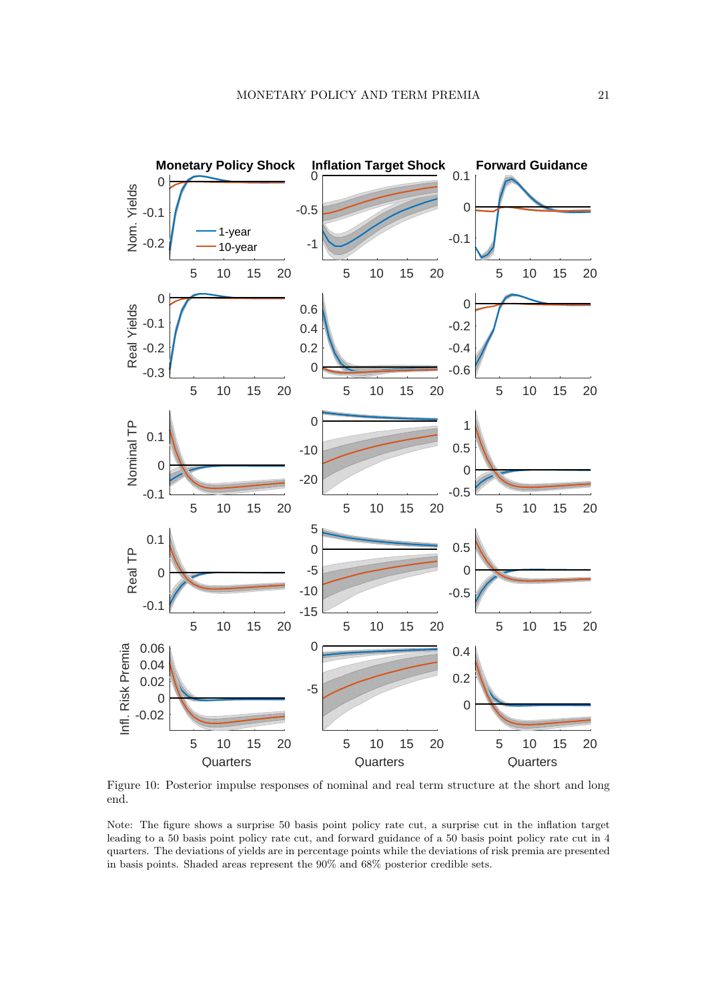

Figure 10: Posterior impulse responses of nominal and real term structure at the short and long end.

Note: The figure shows a surprise 50 basis point policy rate cut, a surprise cut in the inflation target leading to a 50 basis point policy rate cut, and forward guidance of a 50 basis point policy rate cut in 4 quarters. The deviations of yields are in percentage points while the deviations of risk premia are presented in basis points. Shaded areas represent the 90% and 68% posterior credible sets.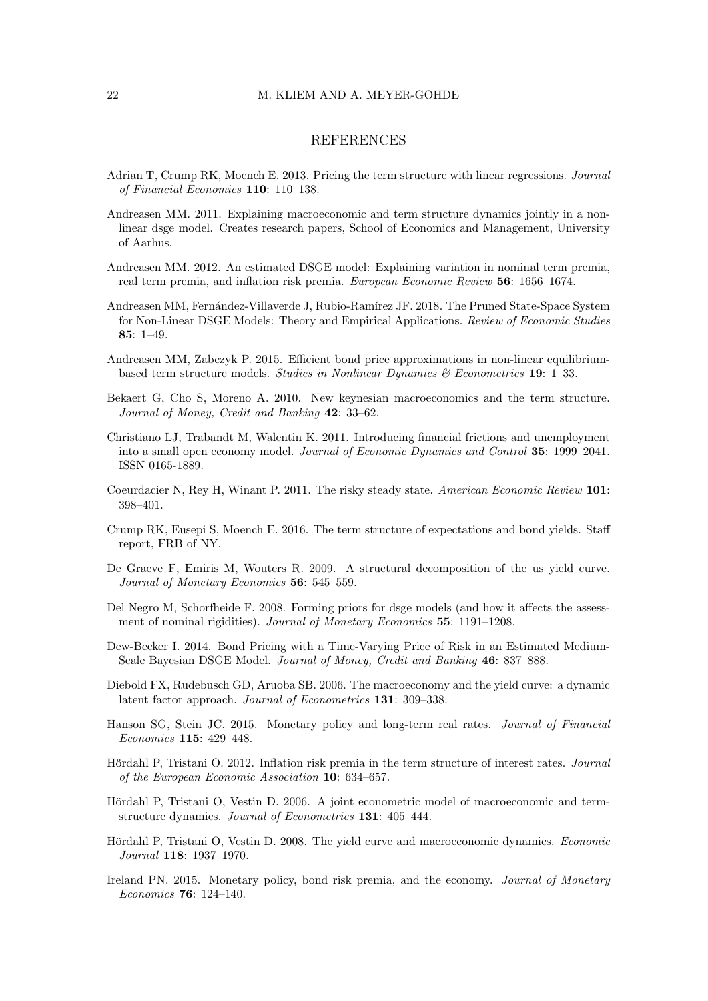#### 22 M. KLIEM AND A. MEYER-GOHDE

#### **REFERENCES**

- <span id="page-21-11"></span>Adrian T, Crump RK, Moench E. 2013. Pricing the term structure with linear regressions. Journal of Financial Economics 110: 110–138.
- <span id="page-21-13"></span>Andreasen MM. 2011. Explaining macroeconomic and term structure dynamics jointly in a nonlinear dsge model. Creates research papers, School of Economics and Management, University of Aarhus.
- <span id="page-21-2"></span>Andreasen MM. 2012. An estimated DSGE model: Explaining variation in nominal term premia, real term premia, and inflation risk premia. European Economic Review 56: 1656–1674.
- <span id="page-21-3"></span>Andreasen MM, Fernández-Villaverde J, Rubio-Ramírez JF. 2018. The Pruned State-Space System for Non-Linear DSGE Models: Theory and Empirical Applications. Review of Economic Studies 85: 1–49.
- <span id="page-21-6"></span>Andreasen MM, Zabczyk P. 2015. Efficient bond price approximations in non-linear equilibriumbased term structure models. Studies in Nonlinear Dynamics & Econometrics 19: 1–33.
- <span id="page-21-7"></span>Bekaert G, Cho S, Moreno A. 2010. New keynesian macroeconomics and the term structure. Journal of Money, Credit and Banking 42: 33–62.
- <span id="page-21-15"></span>Christiano LJ, Trabandt M, Walentin K. 2011. Introducing financial frictions and unemployment into a small open economy model. Journal of Economic Dynamics and Control 35: 1999–2041. ISSN 0165-1889.
- <span id="page-21-0"></span>Coeurdacier N, Rey H, Winant P. 2011. The risky steady state. American Economic Review 101: 398–401.
- <span id="page-21-17"></span>Crump RK, Eusepi S, Moench E. 2016. The term structure of expectations and bond yields. Staff report, FRB of NY.
- <span id="page-21-5"></span>De Graeve F, Emiris M, Wouters R. 2009. A structural decomposition of the us yield curve. Journal of Monetary Economics **56**: 545–559.
- <span id="page-21-12"></span>Del Negro M, Schorfheide F. 2008. Forming priors for dsge models (and how it affects the assessment of nominal rigidities). Journal of Monetary Economics 55: 1191-1208.
- <span id="page-21-1"></span>Dew-Becker I. 2014. Bond Pricing with a Time-Varying Price of Risk in an Estimated Medium-Scale Bayesian DSGE Model. Journal of Money, Credit and Banking 46: 837–888.
- <span id="page-21-14"></span>Diebold FX, Rudebusch GD, Aruoba SB. 2006. The macroeconomy and the yield curve: a dynamic latent factor approach. Journal of Econometrics 131: 309–338.
- <span id="page-21-16"></span>Hanson SG, Stein JC. 2015. Monetary policy and long-term real rates. Journal of Financial Economics 115: 429–448.
- <span id="page-21-9"></span>Hördahl P, Tristani O. 2012. Inflation risk premia in the term structure of interest rates. Journal of the European Economic Association 10: 634–657.
- <span id="page-21-8"></span>Hördahl P, Tristani O, Vestin D. 2006. A joint econometric model of macroeconomic and termstructure dynamics. Journal of Econometrics 131: 405–444.
- <span id="page-21-4"></span>Hördahl P, Tristani O, Vestin D. 2008. The yield curve and macroeconomic dynamics. Economic Journal 118: 1937–1970.
- <span id="page-21-10"></span>Ireland PN. 2015. Monetary policy, bond risk premia, and the economy. Journal of Monetary Economics 76: 124–140.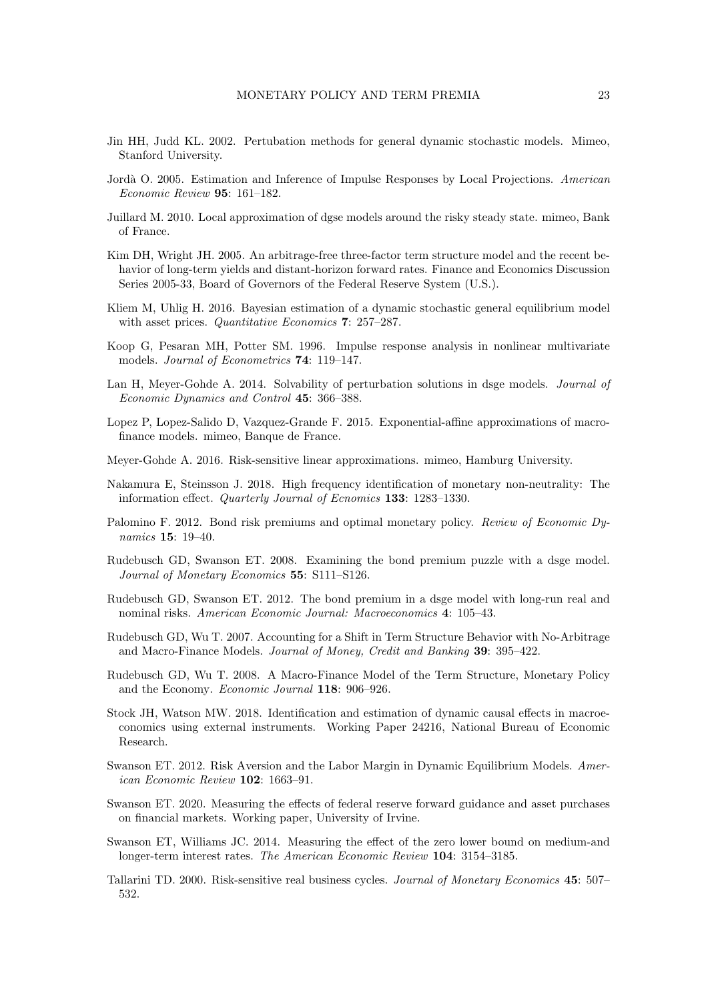- <span id="page-22-9"></span>Jin HH, Judd KL. 2002. Pertubation methods for general dynamic stochastic models. Mimeo, Stanford University.
- <span id="page-22-17"></span>Jordà O. 2005. Estimation and Inference of Impulse Responses by Local Projections. American Economic Review 95: 161–182.
- <span id="page-22-1"></span>Juillard M. 2010. Local approximation of dgse models around the risky steady state. mimeo, Bank of France.
- <span id="page-22-14"></span>Kim DH, Wright JH. 2005. An arbitrage-free three-factor term structure model and the recent behavior of long-term yields and distant-horizon forward rates. Finance and Economics Discussion Series 2005-33, Board of Governors of the Federal Reserve System (U.S.).
- <span id="page-22-2"></span>Kliem M, Uhlig H. 2016. Bayesian estimation of a dynamic stochastic general equilibrium model with asset prices. *Quantitative Economics* 7: 257–287.
- <span id="page-22-13"></span>Koop G, Pesaran MH, Potter SM. 1996. Impulse response analysis in nonlinear multivariate models. Journal of Econometrics 74: 119–147.
- <span id="page-22-10"></span>Lan H, Meyer-Gohde A. 2014. Solvability of perturbation solutions in dsge models. *Journal of* Economic Dynamics and Control 45: 366–388.
- <span id="page-22-3"></span>Lopez P, Lopez-Salido D, Vazquez-Grande F. 2015. Exponential-affine approximations of macrofinance models. mimeo, Banque de France.
- <span id="page-22-0"></span>Meyer-Gohde A. 2016. Risk-sensitive linear approximations. mimeo, Hamburg University.
- <span id="page-22-18"></span>Nakamura E, Steinsson J. 2018. High frequency identification of monetary non-neutrality: The information effect. Quarterly Journal of Ecnomics 133: 1283–1330.
- <span id="page-22-6"></span>Palomino F. 2012. Bond risk premiums and optimal monetary policy. Review of Economic Dynamics 15: 19–40.
- <span id="page-22-4"></span>Rudebusch GD, Swanson ET. 2008. Examining the bond premium puzzle with a dsge model. Journal of Monetary Economics 55: S111–S126.
- <span id="page-22-5"></span>Rudebusch GD, Swanson ET. 2012. The bond premium in a dsge model with long-run real and nominal risks. American Economic Journal: Macroeconomics 4: 105–43.
- <span id="page-22-7"></span>Rudebusch GD, Wu T. 2007. Accounting for a Shift in Term Structure Behavior with No-Arbitrage and Macro-Finance Models. Journal of Money, Credit and Banking 39: 395–422.
- <span id="page-22-8"></span>Rudebusch GD, Wu T. 2008. A Macro-Finance Model of the Term Structure, Monetary Policy and the Economy. Economic Journal 118: 906–926.
- <span id="page-22-19"></span>Stock JH, Watson MW. 2018. Identification and estimation of dynamic causal effects in macroeconomics using external instruments. Working Paper 24216, National Bureau of Economic Research.
- <span id="page-22-12"></span>Swanson ET. 2012. Risk Aversion and the Labor Margin in Dynamic Equilibrium Models. American Economic Review 102: 1663–91.
- <span id="page-22-16"></span>Swanson ET. 2020. Measuring the effects of federal reserve forward guidance and asset purchases on financial markets. Working paper, University of Irvine.
- <span id="page-22-15"></span>Swanson ET, Williams JC. 2014. Measuring the effect of the zero lower bound on medium-and longer-term interest rates. The American Economic Review 104: 3154–3185.
- <span id="page-22-11"></span>Tallarini TD. 2000. Risk-sensitive real business cycles. Journal of Monetary Economics 45: 507– 532.